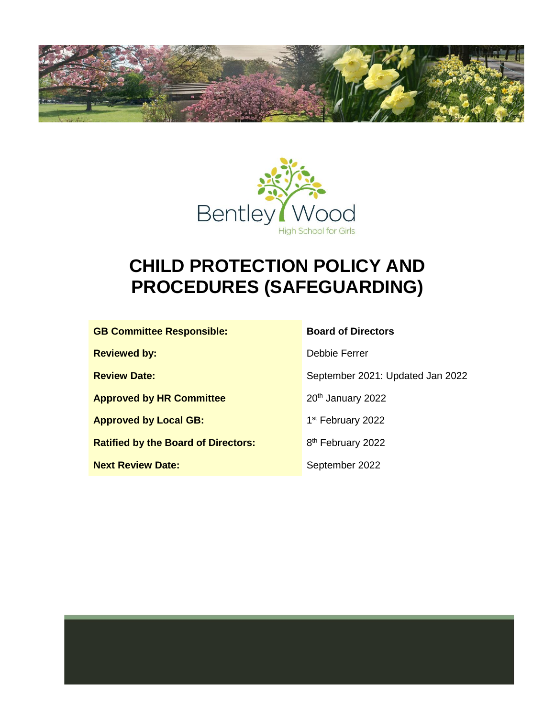



# **CHILD PROTECTION POLICY AND PROCEDURES (SAFEGUARDING)**

| <b>GB Committee Responsible:</b>           | <b>Board of Directors</b>        |
|--------------------------------------------|----------------------------------|
| <b>Reviewed by:</b>                        | Debbie Ferrer                    |
| <b>Review Date:</b>                        | September 2021: Updated Jan 2022 |
| <b>Approved by HR Committee</b>            | 20 <sup>th</sup> January 2022    |
| <b>Approved by Local GB:</b>               | 1 <sup>st</sup> February 2022    |
| <b>Ratified by the Board of Directors:</b> | 8 <sup>th</sup> February 2022    |
| <b>Next Review Date:</b>                   | September 2022                   |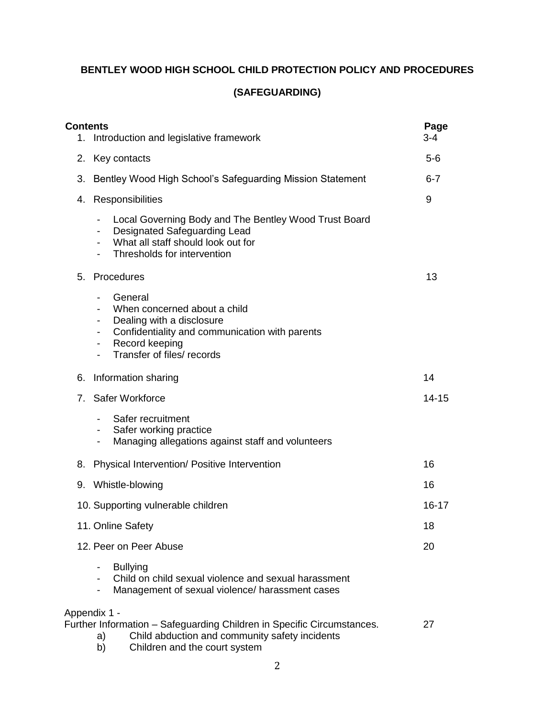# **BENTLEY WOOD HIGH SCHOOL CHILD PROTECTION POLICY AND PROCEDURES**

## **(SAFEGUARDING)**

| <b>Contents</b><br>1. | Introduction and legislative framework                                                                                                                                                                             | Page<br>3-4 |
|-----------------------|--------------------------------------------------------------------------------------------------------------------------------------------------------------------------------------------------------------------|-------------|
| 2.                    | Key contacts                                                                                                                                                                                                       | $5-6$       |
| 3.                    | Bentley Wood High School's Safeguarding Mission Statement                                                                                                                                                          | $6 - 7$     |
| 4.                    | Responsibilities                                                                                                                                                                                                   | 9           |
|                       | Local Governing Body and The Bentley Wood Trust Board<br><b>Designated Safeguarding Lead</b><br>What all staff should look out for<br>Thresholds for intervention                                                  |             |
|                       | 5. Procedures                                                                                                                                                                                                      | 13          |
|                       | General<br>When concerned about a child<br>Dealing with a disclosure<br>-<br>Confidentiality and communication with parents<br>-<br>Record keeping<br>۰.<br>Transfer of files/ records<br>$\overline{\phantom{0}}$ |             |
| 6.                    | Information sharing                                                                                                                                                                                                | 14          |
| 7 <sub>1</sub>        | <b>Safer Workforce</b>                                                                                                                                                                                             | $14 - 15$   |
|                       | Safer recruitment<br>-<br>Safer working practice<br>Managing allegations against staff and volunteers<br>-                                                                                                         |             |
| 8.                    | Physical Intervention/ Positive Intervention                                                                                                                                                                       | 16          |
|                       | 9. Whistle-blowing                                                                                                                                                                                                 | 16          |
|                       | 10. Supporting vulnerable children                                                                                                                                                                                 | 16-17       |
|                       | 11. Online Safety                                                                                                                                                                                                  | 18          |
|                       | 12. Peer on Peer Abuse                                                                                                                                                                                             | 20          |
|                       | <b>Bullying</b><br>-<br>Child on child sexual violence and sexual harassment<br>Management of sexual violence/ harassment cases<br>-                                                                               |             |
|                       | Appendix 1 -<br>Further Information - Safeguarding Children in Specific Circumstances.<br>Child abduction and community safety incidents<br>a)<br>b)<br>Children and the court system                              | 27          |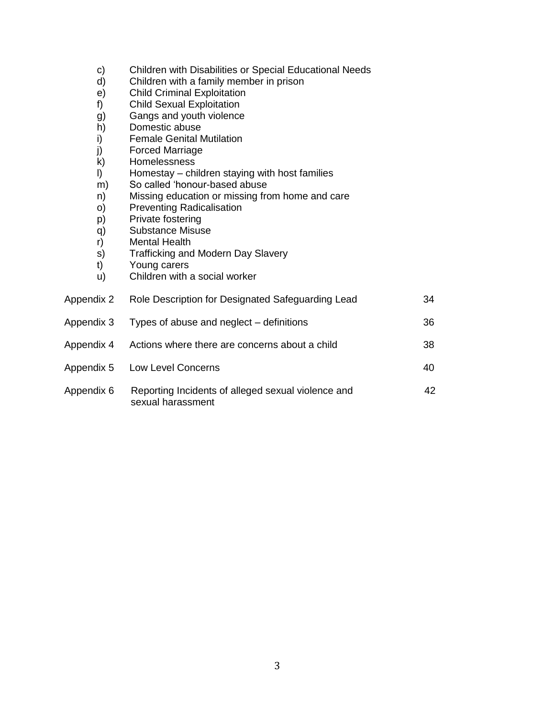- c) Children with Disabilities or Special Educational Needs<br>d) Children with a family member in prison
- d) Children with a family member in prison<br>e) Child Criminal Exploitation
- Child Criminal Exploitation
- f) Child Sexual Exploitation
- g) Gangs and youth violence
- h) Domestic abuse
- i) Female Genital Mutilation<br>i) Forced Marriage
- j) Forced Marriage<br>k) Homelessness
- Homelessness
- l) Homestay children staying with host families
- m) So called 'honour-based abuse
- n) Missing education or missing from home and care
- o) Preventing Radicalisation
- p) Private fostering
- q) Substance Misuse
- r) Mental Health
- s) Trafficking and Modern Day Slavery<br>t) Young carers
- Young carers
- u) Children with a social worker

| Appendix 2 | Role Description for Designated Safeguarding Lead                       | 34 |
|------------|-------------------------------------------------------------------------|----|
| Appendix 3 | Types of abuse and neglect – definitions                                | 36 |
| Appendix 4 | Actions where there are concerns about a child                          | 38 |
| Appendix 5 | Low Level Concerns                                                      | 40 |
| Appendix 6 | Reporting Incidents of alleged sexual violence and<br>sexual harassment | 42 |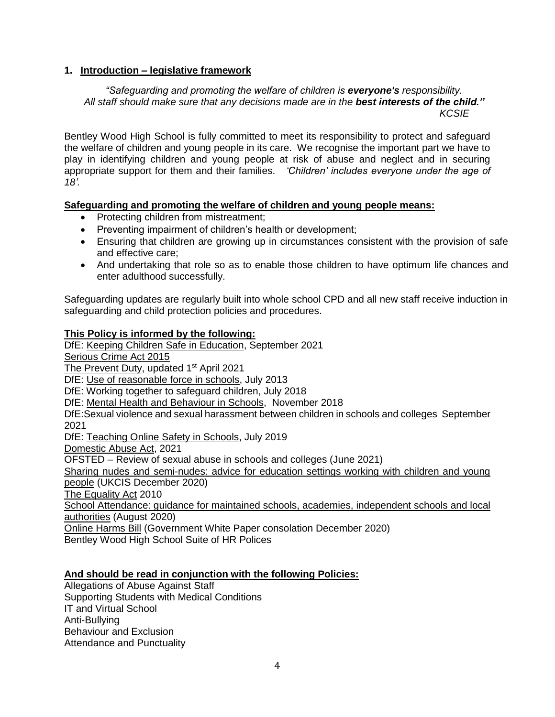#### **1. Introduction – legislative framework**

#### *"Safeguarding and promoting the welfare of children is everyone's responsibility. All staff should make sure that any decisions made are in the best interests of the child." KCSIE*

Bentley Wood High School is fully committed to meet its responsibility to protect and safeguard the welfare of children and young people in its care. We recognise the important part we have to play in identifying children and young people at risk of abuse and neglect and in securing appropriate support for them and their families. *'Children' includes everyone under the age of 18'.*

#### **Safeguarding and promoting the welfare of children and young people means:**

- Protecting children from mistreatment;
- Preventing impairment of children's health or development;
- Ensuring that children are growing up in circumstances consistent with the provision of safe and effective care;
- And undertaking that role so as to enable those children to have optimum life chances and enter adulthood successfully.

Safeguarding updates are regularly built into whole school CPD and all new staff receive induction in safeguarding and child protection policies and procedures.

#### **This Policy is informed by the following:**

DfE: [Keeping Children Safe in Education,](https://assets.publishing.service.gov.uk/government/uploads/system/uploads/attachment_data/file/1007260/Keeping_children_safe_in_education_2021.pdf) September 2021 [Serious Crime Act 2015](https://www.gov.uk/government/collections/serious-crime-bill) [The Prevent Duty,](https://www.gov.uk/government/publications/prevent-duty-guidance/revised-prevent-duty-guidance-for-england-and-wales) updated 1<sup>st</sup> April 2021 DfE: [Use of reasonable force in schools,](https://assets.publishing.service.gov.uk/government/uploads/system/uploads/attachment_data/file/444051/Use_of_reasonable_force_advice_Reviewed_July_2015.pdf) July 2013 DfE: [Working together to safeguard children,](https://assets.publishing.service.gov.uk/government/uploads/system/uploads/attachment_data/file/942454/Working_together_to_safeguard_children_inter_agency_guidance.pdf) July 2018 DfE: [Mental Health and Behaviour in Schools,](https://assets.publishing.service.gov.uk/government/uploads/system/uploads/attachment_data/file/755135/Mental_health_and_behaviour_in_schools__.pdf) November 2018 DfE[:Sexual violence and sexual harassment between children in schools and colleges](https://assets.publishing.service.gov.uk/government/uploads/system/uploads/attachment_data/file/999239/SVSH_2021.pdf) September 2021 DfE: [Teaching Online Safety in Schools,](https://assets.publishing.service.gov.uk/government/uploads/system/uploads/attachment_data/file/811796/Teaching_online_safety_in_school.pdf) July 2019 [Domestic Abuse Act,](https://www.gov.uk/government/publications/domestic-abuse-bill-2020-factsheets/domestic-abuse-bill-2020-overarching-factsheet) 2021 OFSTED – Review of sexual abuse in schools and colleges (June 2021) [Sharing nudes and semi-nudes: advice for education settings working with children and young](https://www.gov.uk/government/publications/sharing-nudes-and-semi-nudes-advice-for-education-settings-working-with-children-and-young-people/sharing-nudes-and-semi-nudes-advice-for-education-settings-working-with-children-and-young-people)  [people](https://www.gov.uk/government/publications/sharing-nudes-and-semi-nudes-advice-for-education-settings-working-with-children-and-young-people/sharing-nudes-and-semi-nudes-advice-for-education-settings-working-with-children-and-young-people) (UKCIS December 2020) [The Equality Act](https://www.gov.uk/guidance/equality-act-2010-guidance) 2010 [School Attendance: guidance for maintained schools, academies, independent schools and local](https://assets.publishing.service.gov.uk/government/uploads/system/uploads/attachment_data/file/907535/School_attendance_guidance_for_2020_to_2021_academic_year.pdf)  [authorities](https://assets.publishing.service.gov.uk/government/uploads/system/uploads/attachment_data/file/907535/School_attendance_guidance_for_2020_to_2021_academic_year.pdf) (August 2020) [Online Harms Bill](https://www.gov.uk/government/consultations/online-harms-white-paper/online-harms-white-paper) (Government White Paper consolation December 2020)

Bentley Wood High School Suite of HR Polices

#### **And should be read in conjunction with the following Policies:**

Allegations of Abuse Against Staff Supporting Students with Medical Conditions IT and Virtual School Anti-Bullying Behaviour and Exclusion Attendance and Punctuality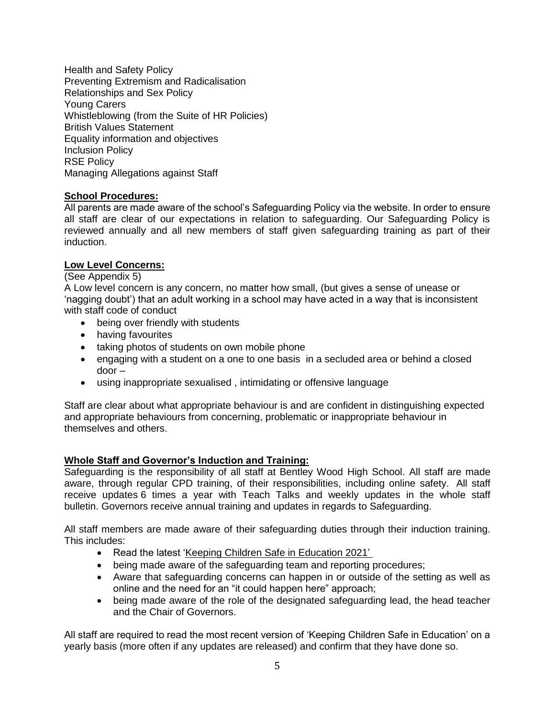Health and Safety Policy Preventing Extremism and Radicalisation Relationships and Sex Policy Young Carers Whistleblowing (from the Suite of HR Policies) British Values Statement Equality information and objectives Inclusion Policy RSE Policy Managing Allegations against Staff

#### **School Procedures:**

All parents are made aware of the school's Safeguarding Policy via the website. In order to ensure all staff are clear of our expectations in relation to safeguarding. Our Safeguarding Policy is reviewed annually and all new members of staff given safeguarding training as part of their induction.

#### **Low Level Concerns:**

#### (See Appendix 5)

A Low level concern is any concern, no matter how small, (but gives a sense of unease or 'nagging doubt') that an adult working in a school may have acted in a way that is inconsistent with staff code of conduct

- being over friendly with students
- having favourites
- taking photos of students on own mobile phone
- engaging with a student on a one to one basis in a secluded area or behind a closed door –
- using inappropriate sexualised , intimidating or offensive language

Staff are clear about what appropriate behaviour is and are confident in distinguishing expected and appropriate behaviours from concerning, problematic or inappropriate behaviour in themselves and others.

## **Whole Staff and Governor's Induction and Training:**

Safeguarding is the responsibility of all staff at Bentley Wood High School. All staff are made aware, through regular CPD training, of their responsibilities, including online safety. All staff receive updates 6 times a year with Teach Talks and weekly updates in the whole staff bulletin. Governors receive annual training and updates in regards to Safeguarding.

All staff members are made aware of their safeguarding duties through their induction training. This includes:

- Read the latest ['Keeping Children Safe in Education 2021'](https://assets.publishing.service.gov.uk/government/uploads/system/uploads/attachment_data/file/1007260/Keeping_children_safe_in_education_2021.pdf)
- being made aware of the safeguarding team and reporting procedures;
- Aware that safeguarding concerns can happen in or outside of the setting as well as online and the need for an "it could happen here" approach;
- being made aware of the role of the designated safeguarding lead, the head teacher and the Chair of Governors.

All staff are required to read the most recent version of 'Keeping Children Safe in Education' on a yearly basis (more often if any updates are released) and confirm that they have done so.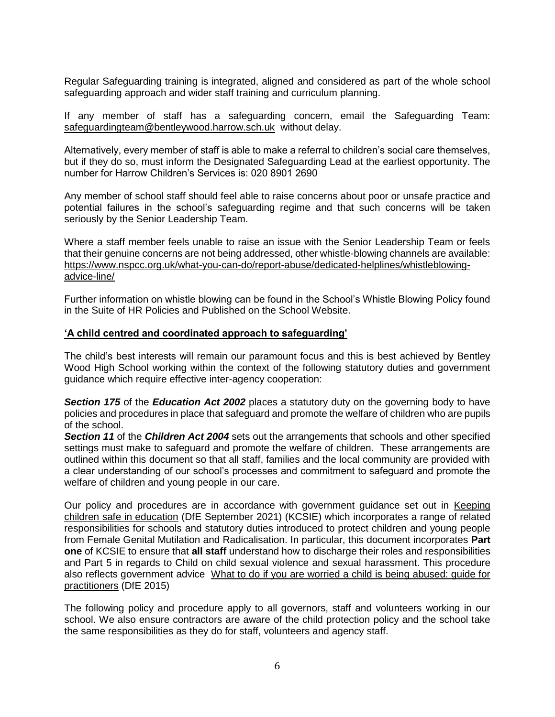Regular Safeguarding training is integrated, aligned and considered as part of the whole school safeguarding approach and wider staff training and curriculum planning.

If any member of staff has a safeguarding concern, email the Safeguarding Team: [safeguardingteam@bentleywood.harrow.sch.uk](mailto:safeguardingteam@bentleywood.harrow.sch.uk) without delay.

Alternatively, every member of staff is able to make a referral to children's social care themselves, but if they do so, must inform the Designated Safeguarding Lead at the earliest opportunity. The number for Harrow Children's Services is: 020 8901 2690

Any member of school staff should feel able to raise concerns about poor or unsafe practice and potential failures in the school's safeguarding regime and that such concerns will be taken seriously by the Senior Leadership Team.

Where a staff member feels unable to raise an issue with the Senior Leadership Team or feels that their genuine concerns are not being addressed, other whistle-blowing channels are available: [https://www.nspcc.org.uk/what-you-can-do/report-abuse/dedicated-helplines/whistleblowing](https://www.nspcc.org.uk/what-you-can-do/report-abuse/dedicated-helplines/whistleblowing-advice-line/)[advice-line/](https://www.nspcc.org.uk/what-you-can-do/report-abuse/dedicated-helplines/whistleblowing-advice-line/)

Further information on whistle blowing can be found in the School's Whistle Blowing Policy found in the Suite of HR Policies and Published on the School Website.

#### **'A child centred and coordinated approach to safeguarding'**

The child's best interests will remain our paramount focus and this is best achieved by Bentley Wood High School working within the context of the following statutory duties and government guidance which require effective inter-agency cooperation:

*Section 175* of the *Education Act 2002* places a statutory duty on the governing body to have policies and procedures in place that safeguard and promote the welfare of children who are pupils of the school.

*Section 11* of the *Children Act 2004* sets out the arrangements that schools and other specified settings must make to safeguard and promote the welfare of children. These arrangements are outlined within this document so that all staff, families and the local community are provided with a clear understanding of our school's processes and commitment to safeguard and promote the welfare of children and young people in our care.

Our policy and procedures are in accordance with government guidance set out in [Keeping](https://assets.publishing.service.gov.uk/government/uploads/system/uploads/attachment_data/file/1007260/Keeping_children_safe_in_education_2021.pdf)  [children safe in education](https://assets.publishing.service.gov.uk/government/uploads/system/uploads/attachment_data/file/1007260/Keeping_children_safe_in_education_2021.pdf) (DfE September 2021) (KCSIE) which incorporates a range of related responsibilities for schools and statutory duties introduced to protect children and young people from Female Genital Mutilation and Radicalisation. In particular, this document incorporates **Part one** of KCSIE to ensure that **all staff** understand how to discharge their roles and responsibilities and Part 5 in regards to Child on child sexual violence and sexual harassment. This procedure also reflects government advice [What to do if you are worried a child is being abused: guide for](https://www.gov.uk/government/publications/what-to-do-if-youre-worried-a-child-is-being-abused--2)  [practitioners](https://www.gov.uk/government/publications/what-to-do-if-youre-worried-a-child-is-being-abused--2) (DfE 2015)

The following policy and procedure apply to all governors, staff and volunteers working in our school. We also ensure contractors are aware of the child protection policy and the school take the same responsibilities as they do for staff, volunteers and agency staff.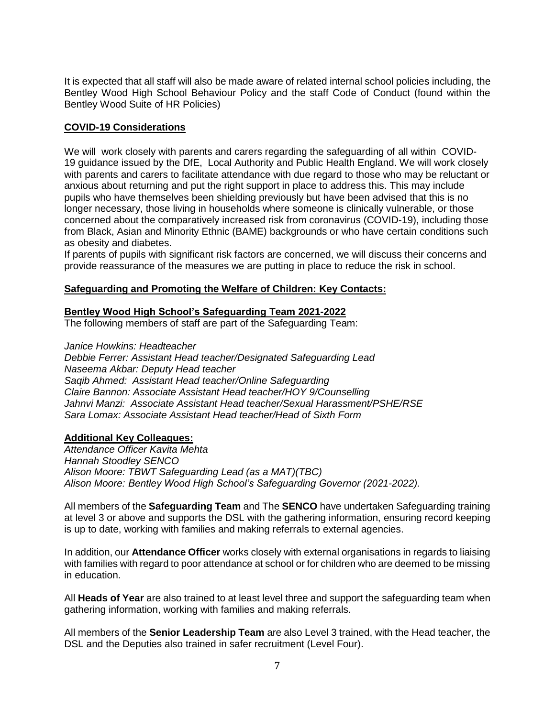It is expected that all staff will also be made aware of related internal school policies including, the Bentley Wood High School Behaviour Policy and the staff Code of Conduct (found within the Bentley Wood Suite of HR Policies)

#### **COVID-19 Considerations**

We will work closely with parents and carers regarding the safeguarding of all within COVID-19 guidance issued by the DfE, Local Authority and Public Health England. We will work closely with parents and carers to facilitate attendance with due regard to those who may be reluctant or anxious about returning and put the right support in place to address this. This may include pupils who have themselves been shielding previously but have been advised that this is no longer necessary, those living in households where someone is clinically vulnerable, or those concerned about the comparatively increased risk from coronavirus (COVID-19), including those from Black, Asian and Minority Ethnic (BAME) backgrounds or who have certain conditions such as obesity and diabetes.

If parents of pupils with significant risk factors are concerned, we will discuss their concerns and provide reassurance of the measures we are putting in place to reduce the risk in school.

#### **Safeguarding and Promoting the Welfare of Children: Key Contacts:**

#### **Bentley Wood High School's Safeguarding Team 2021-2022**

The following members of staff are part of the Safeguarding Team:

*Janice Howkins: Headteacher*

*Debbie Ferrer: Assistant Head teacher/Designated Safeguarding Lead Naseema Akbar: Deputy Head teacher Saqib Ahmed: Assistant Head teacher/Online Safeguarding Claire Bannon: Associate Assistant Head teacher/HOY 9/Counselling Jahnvi Manzi: Associate Assistant Head teacher/Sexual Harassment/PSHE/RSE Sara Lomax: Associate Assistant Head teacher/Head of Sixth Form*

#### **Additional Key Colleagues:**

*Attendance Officer Kavita Mehta Hannah Stoodley SENCO Alison Moore: TBWT Safeguarding Lead (as a MAT)(TBC) Alison Moore: Bentley Wood High School's Safeguarding Governor (2021-2022).*

All members of the **Safeguarding Team** and The **SENCO** have undertaken Safeguarding training at level 3 or above and supports the DSL with the gathering information, ensuring record keeping is up to date, working with families and making referrals to external agencies.

In addition, our **Attendance Officer** works closely with external organisations in regards to liaising with families with regard to poor attendance at school or for children who are deemed to be missing in education.

All **Heads of Year** are also trained to at least level three and support the safeguarding team when gathering information, working with families and making referrals.

All members of the **Senior Leadership Team** are also Level 3 trained, with the Head teacher, the DSL and the Deputies also trained in safer recruitment (Level Four).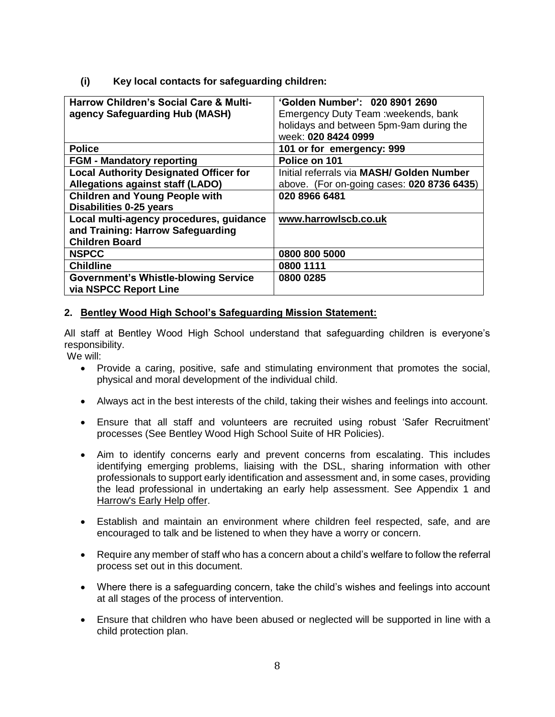## **(i) Key local contacts for safeguarding children:**

| <b>Harrow Children's Social Care &amp; Multi-</b><br>agency Safeguarding Hub (MASH)                   | 'Golden Number': 020 8901 2690<br>Emergency Duty Team: weekends, bank<br>holidays and between 5pm-9am during the |
|-------------------------------------------------------------------------------------------------------|------------------------------------------------------------------------------------------------------------------|
| <b>Police</b>                                                                                         | week: 020 8424 0999<br>101 or for emergency: 999                                                                 |
| <b>FGM - Mandatory reporting</b>                                                                      | Police on 101                                                                                                    |
| <b>Local Authority Designated Officer for</b>                                                         | Initial referrals via MASH/ Golden Number                                                                        |
| <b>Allegations against staff (LADO)</b>                                                               | above. (For on-going cases: 020 8736 6435)                                                                       |
| <b>Children and Young People with</b>                                                                 | 020 8966 6481                                                                                                    |
| <b>Disabilities 0-25 years</b>                                                                        |                                                                                                                  |
| Local multi-agency procedures, guidance<br>and Training: Harrow Safeguarding<br><b>Children Board</b> | www.harrowlscb.co.uk                                                                                             |
| <b>NSPCC</b>                                                                                          | 0800 800 5000                                                                                                    |
| <b>Childline</b>                                                                                      | 0800 1111                                                                                                        |
| <b>Government's Whistle-blowing Service</b><br>via NSPCC Report Line                                  | 0800 0285                                                                                                        |

#### **2. Bentley Wood High School's Safeguarding Mission Statement:**

All staff at Bentley Wood High School understand that safeguarding children is everyone's responsibility.

We will:

- Provide a caring, positive, safe and stimulating environment that promotes the social, physical and moral development of the individual child.
- Always act in the best interests of the child, taking their wishes and feelings into account.
- Ensure that all staff and volunteers are recruited using robust 'Safer Recruitment' processes (See Bentley Wood High School Suite of HR Policies).
- Aim to identify concerns early and prevent concerns from escalating. This includes identifying emerging problems, liaising with the DSL, sharing information with other professionals to support early identification and assessment and, in some cases, providing the lead professional in undertaking an early help assessment. See Appendix 1 and [Harrow's Early Help offer.](http://www.harrowlscb.co.uk/parents-carers/early-help/)
- Establish and maintain an environment where children feel respected, safe, and are encouraged to talk and be listened to when they have a worry or concern.
- Require any member of staff who has a concern about a child's welfare to follow the referral process set out in this document.
- Where there is a safeguarding concern, take the child's wishes and feelings into account at all stages of the process of intervention.
- Ensure that children who have been abused or neglected will be supported in line with a child protection plan.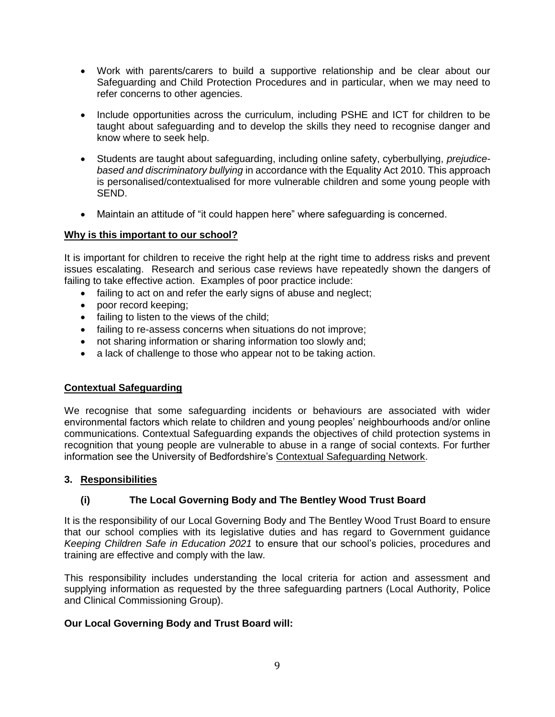- Work with parents/carers to build a supportive relationship and be clear about our Safeguarding and Child Protection Procedures and in particular, when we may need to refer concerns to other agencies.
- Include opportunities across the curriculum, including PSHE and ICT for children to be taught about safeguarding and to develop the skills they need to recognise danger and know where to seek help.
- Students are taught about safeguarding, including online safety, cyberbullying, *prejudicebased and discriminatory bullying* in accordance with the Equality Act 2010. This approach is personalised/contextualised for more vulnerable children and some young people with SEND.
- Maintain an attitude of "it could happen here" where safeguarding is concerned.

#### **Why is this important to our school?**

It is important for children to receive the right help at the right time to address risks and prevent issues escalating. Research and serious case reviews have repeatedly shown the dangers of failing to take effective action. Examples of poor practice include:

- failing to act on and refer the early signs of abuse and neglect;
- poor record keeping;
- failing to listen to the views of the child;
- failing to re-assess concerns when situations do not improve;
- not sharing information or sharing information too slowly and;
- a lack of challenge to those who appear not to be taking action.

#### **Contextual Safeguarding**

We recognise that some safeguarding incidents or behaviours are associated with wider environmental factors which relate to children and young peoples' neighbourhoods and/or online communications. Contextual Safeguarding expands the objectives of child protection systems in recognition that young people are vulnerable to abuse in a range of social contexts. For further information see the University of Bedfordshire's [Contextual Safeguarding Network.](file:///C:/Users/bassani/AppData/AppData/Local/Microsoft/Windows/AppData/AppData/Local/Microsoft/Windows/INetCache/Content.Outlook/3TJSXR32/Contextual%20Safeguarding%20Network)

#### **3. Responsibilities**

## **(i) The Local Governing Body and The Bentley Wood Trust Board**

It is the responsibility of our Local Governing Body and The Bentley Wood Trust Board to ensure that our school complies with its legislative duties and has regard to Government guidance *Keeping Children Safe in Education 2021* to ensure that our school's policies, procedures and training are effective and comply with the law.

This responsibility includes understanding the local criteria for action and assessment and supplying information as requested by the three safeguarding partners (Local Authority, Police and Clinical Commissioning Group).

#### **Our Local Governing Body and Trust Board will:**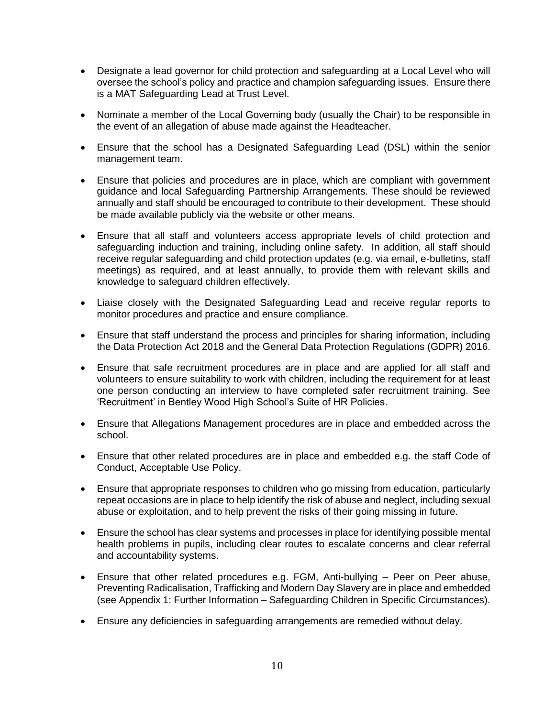- Designate a lead governor for child protection and safeguarding at a Local Level who will oversee the school's policy and practice and champion safeguarding issues. Ensure there is a MAT Safeguarding Lead at Trust Level.
- Nominate a member of the Local Governing body (usually the Chair) to be responsible in the event of an allegation of abuse made against the Headteacher.
- Ensure that the school has a Designated Safeguarding Lead (DSL) within the senior management team.
- Ensure that policies and procedures are in place, which are compliant with government guidance and local Safeguarding Partnership Arrangements. These should be reviewed annually and staff should be encouraged to contribute to their development. These should be made available publicly via the website or other means.
- Ensure that all staff and volunteers access appropriate levels of child protection and safeguarding induction and training, including online safety. In addition, all staff should receive regular safeguarding and child protection updates (e.g. via email, e-bulletins, staff meetings) as required, and at least annually, to provide them with relevant skills and knowledge to safeguard children effectively.
- Liaise closely with the Designated Safeguarding Lead and receive regular reports to monitor procedures and practice and ensure compliance.
- Ensure that staff understand the process and principles for sharing information, including the Data Protection Act 2018 and the General Data Protection Regulations (GDPR) 2016.
- Ensure that safe recruitment procedures are in place and are applied for all staff and volunteers to ensure suitability to work with children, including the requirement for at least one person conducting an interview to have completed safer recruitment training. See 'Recruitment' in Bentley Wood High School's Suite of HR Policies.
- Ensure that Allegations Management procedures are in place and embedded across the school.
- Ensure that other related procedures are in place and embedded e.g. the staff Code of Conduct, Acceptable Use Policy.
- Ensure that appropriate responses to children who go missing from education, particularly repeat occasions are in place to help identify the risk of abuse and neglect, including sexual abuse or exploitation, and to help prevent the risks of their going missing in future.
- Ensure the school has clear systems and processes in place for identifying possible mental health problems in pupils, including clear routes to escalate concerns and clear referral and accountability systems.
- Ensure that other related procedures e.g. FGM, Anti-bullying Peer on Peer abuse, Preventing Radicalisation, Trafficking and Modern Day Slavery are in place and embedded (see Appendix 1: Further Information – Safeguarding Children in Specific Circumstances).
- Ensure any deficiencies in safeguarding arrangements are remedied without delay.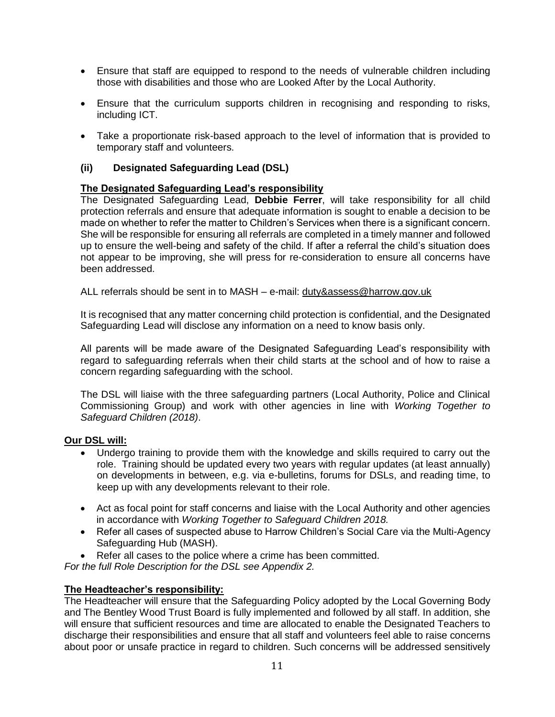- Ensure that staff are equipped to respond to the needs of vulnerable children including those with disabilities and those who are Looked After by the Local Authority.
- Ensure that the curriculum supports children in recognising and responding to risks, including ICT.
- Take a proportionate risk-based approach to the level of information that is provided to temporary staff and volunteers.

#### **(ii) Designated Safeguarding Lead (DSL)**

#### **The Designated Safeguarding Lead's responsibility**

The Designated Safeguarding Lead, **Debbie Ferrer**, will take responsibility for all child protection referrals and ensure that adequate information is sought to enable a decision to be made on whether to refer the matter to Children's Services when there is a significant concern. She will be responsible for ensuring all referrals are completed in a timely manner and followed up to ensure the well-being and safety of the child. If after a referral the child's situation does not appear to be improving, she will press for re-consideration to ensure all concerns have been addressed.

ALL referrals should be sent in to MASH – e-mail: [duty&assess@harrow.gov.uk](mailto:duty&assess@harrow.gov.uk)

It is recognised that any matter concerning child protection is confidential, and the Designated Safeguarding Lead will disclose any information on a need to know basis only.

All parents will be made aware of the Designated Safeguarding Lead's responsibility with regard to safeguarding referrals when their child starts at the school and of how to raise a concern regarding safeguarding with the school.

The DSL will liaise with the three safeguarding partners (Local Authority, Police and Clinical Commissioning Group) and work with other agencies in line with *Working Together to Safeguard Children (2018)*.

#### **Our DSL will:**

- Undergo training to provide them with the knowledge and skills required to carry out the role. Training should be updated every two years with regular updates (at least annually) on developments in between, e.g. via e-bulletins, forums for DSLs, and reading time, to keep up with any developments relevant to their role.
- Act as focal point for staff concerns and liaise with the Local Authority and other agencies in accordance with *Working Together to Safeguard Children 2018.*
- Refer all cases of suspected abuse to Harrow Children's Social Care via the Multi-Agency Safeguarding Hub (MASH).
- Refer all cases to the police where a crime has been committed.

*For the full Role Description for the DSL see Appendix 2.* 

#### **The Headteacher's responsibility:**

The Headteacher will ensure that the Safeguarding Policy adopted by the Local Governing Body and The Bentley Wood Trust Board is fully implemented and followed by all staff. In addition, she will ensure that sufficient resources and time are allocated to enable the Designated Teachers to discharge their responsibilities and ensure that all staff and volunteers feel able to raise concerns about poor or unsafe practice in regard to children. Such concerns will be addressed sensitively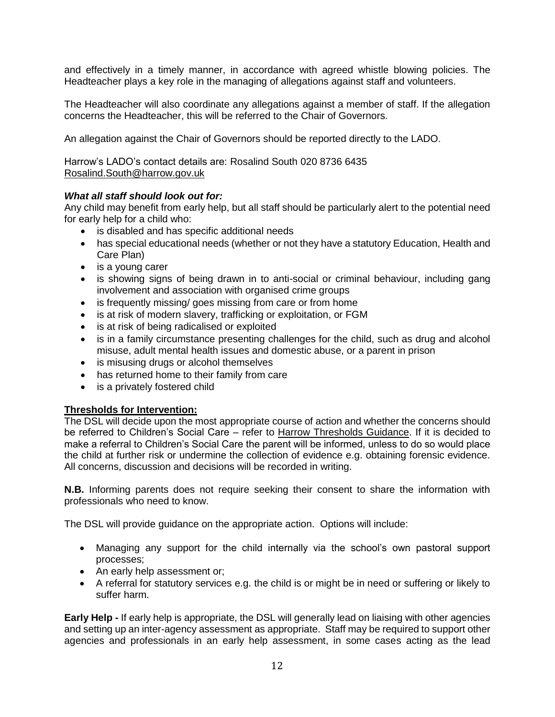and effectively in a timely manner, in accordance with agreed whistle blowing policies. The Headteacher plays a key role in the managing of allegations against staff and volunteers.

The Headteacher will also coordinate any allegations against a member of staff. If the allegation concerns the Headteacher, this will be referred to the Chair of Governors.

An allegation against the Chair of Governors should be reported directly to the LADO.

Harrow's LADO's contact details are: Rosalind South 020 8736 6435 [Rosalind.South@harrow.gov.uk](mailto:%20Rosalind.South@harrow.gov.uk)

#### *What all staff should look out for:*

Any child may benefit from early help, but all staff should be particularly alert to the potential need for early help for a child who:

- is disabled and has specific additional needs
- has special educational needs (whether or not they have a statutory Education, Health and Care Plan)
- is a young carer
- is showing signs of being drawn in to anti-social or criminal behaviour, including gang involvement and association with organised crime groups
- is frequently missing/ goes missing from care or from home
- is at risk of modern slavery, trafficking or exploitation, or FGM
- is at risk of being radicalised or exploited
- is in a family circumstance presenting challenges for the child, such as drug and alcohol misuse, adult mental health issues and domestic abuse, or a parent in prison
- is misusing drugs or alcohol themselves
- has returned home to their family from care
- is a privately fostered child

#### **Thresholds for Intervention:**

The DSL will decide upon the most appropriate course of action and whether the concerns should be referred to Children's Social Care – refer to [Harrow Thresholds Guidance.](http://www.harrowlscb.co.uk/wp-content/uploads/2015/06/Harrow-Threshold-Guidance-Nov-20151.pdf) If it is decided to make a referral to Children's Social Care the parent will be informed, unless to do so would place the child at further risk or undermine the collection of evidence e.g. obtaining forensic evidence. All concerns, discussion and decisions will be recorded in writing.

**N.B.** Informing parents does not require seeking their consent to share the information with professionals who need to know.

The DSL will provide guidance on the appropriate action. Options will include:

- Managing any support for the child internally via the school's own pastoral support processes;
- An early help assessment or;
- A referral for statutory services e.g. the child is or might be in need or suffering or likely to suffer harm.

**Early Help -** If early help is appropriate, the DSL will generally lead on liaising with other agencies and setting up an inter-agency assessment as appropriate. Staff may be required to support other agencies and professionals in an early help assessment, in some cases acting as the lead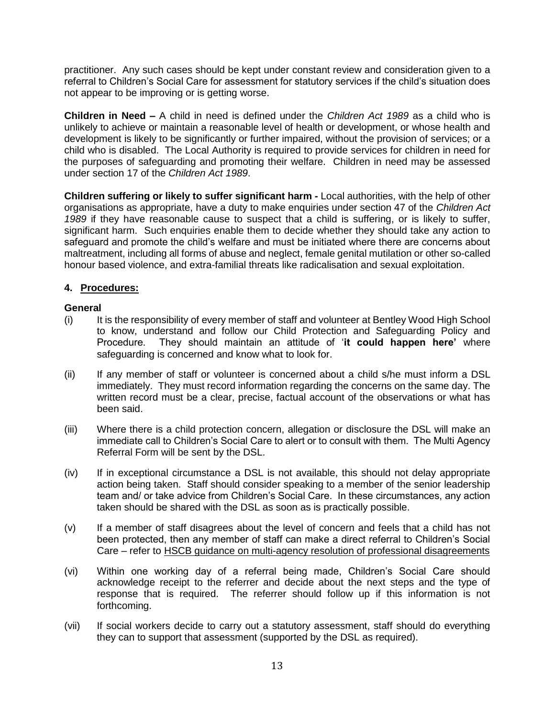practitioner. Any such cases should be kept under constant review and consideration given to a referral to Children's Social Care for assessment for statutory services if the child's situation does not appear to be improving or is getting worse.

**Children in Need –** A child in need is defined under the *Children Act 1989* as a child who is unlikely to achieve or maintain a reasonable level of health or development, or whose health and development is likely to be significantly or further impaired, without the provision of services; or a child who is disabled. The Local Authority is required to provide services for children in need for the purposes of safeguarding and promoting their welfare. Children in need may be assessed under section 17 of the *Children Act 1989*.

**Children suffering or likely to suffer significant harm -** Local authorities, with the help of other organisations as appropriate, have a duty to make enquiries under section 47 of the *Children Act 1989* if they have reasonable cause to suspect that a child is suffering, or is likely to suffer, significant harm. Such enquiries enable them to decide whether they should take any action to safeguard and promote the child's welfare and must be initiated where there are concerns about maltreatment, including all forms of abuse and neglect, female genital mutilation or other so-called honour based violence, and extra-familial threats like radicalisation and sexual exploitation.

#### **4. Procedures:**

#### **General**

- (i) It is the responsibility of every member of staff and volunteer at Bentley Wood High School to know, understand and follow our Child Protection and Safeguarding Policy and Procedure. They should maintain an attitude of '**it could happen here'** where safeguarding is concerned and know what to look for.
- (ii) If any member of staff or volunteer is concerned about a child s/he must inform a DSL immediately. They must record information regarding the concerns on the same day. The written record must be a clear, precise, factual account of the observations or what has been said.
- (iii) Where there is a child protection concern, allegation or disclosure the DSL will make an immediate call to Children's Social Care to alert or to consult with them. The Multi Agency Referral Form will be sent by the DSL.
- (iv) If in exceptional circumstance a DSL is not available, this should not delay appropriate action being taken. Staff should consider speaking to a member of the senior leadership team and/ or take advice from Children's Social Care. In these circumstances, any action taken should be shared with the DSL as soon as is practically possible.
- (v) If a member of staff disagrees about the level of concern and feels that a child has not been protected, then any member of staff can make a direct referral to Children's Social Care – refer to [HSCB guidance on multi-agency resolution of professional disagreements](http://www.harrowlscb.co.uk/london-gp/challenge-and-escalation/)
- (vi) Within one working day of a referral being made, Children's Social Care should acknowledge receipt to the referrer and decide about the next steps and the type of response that is required. The referrer should follow up if this information is not forthcoming.
- (vii) If social workers decide to carry out a statutory assessment, staff should do everything they can to support that assessment (supported by the DSL as required).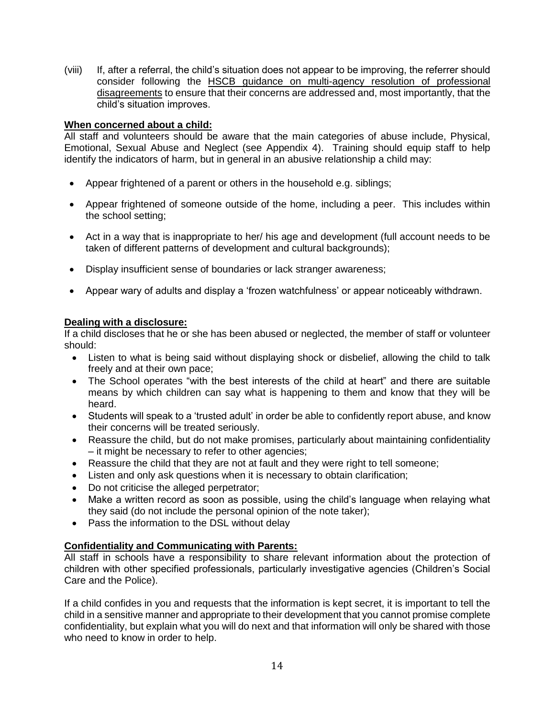(viii) If, after a referral, the child's situation does not appear to be improving, the referrer should consider following the [HSCB guidance on multi-agency resolution of professional](http://www.harrowlscb.co.uk/london-gp/challenge-and-escalation/)  [disagreements](http://www.harrowlscb.co.uk/london-gp/challenge-and-escalation/) to ensure that their concerns are addressed and, most importantly, that the child's situation improves.

#### **When concerned about a child:**

All staff and volunteers should be aware that the main categories of abuse include, Physical, Emotional, Sexual Abuse and Neglect (see Appendix 4). Training should equip staff to help identify the indicators of harm, but in general in an abusive relationship a child may:

- Appear frightened of a parent or others in the household e.g. siblings;
- Appear frightened of someone outside of the home, including a peer. This includes within the school setting;
- Act in a way that is inappropriate to her/ his age and development (full account needs to be taken of different patterns of development and cultural backgrounds);
- Display insufficient sense of boundaries or lack stranger awareness;
- Appear wary of adults and display a 'frozen watchfulness' or appear noticeably withdrawn.

#### **Dealing with a disclosure:**

If a child discloses that he or she has been abused or neglected, the member of staff or volunteer should:

- Listen to what is being said without displaying shock or disbelief, allowing the child to talk freely and at their own pace;
- The School operates "with the best interests of the child at heart" and there are suitable means by which children can say what is happening to them and know that they will be heard.
- Students will speak to a 'trusted adult' in order be able to confidently report abuse, and know their concerns will be treated seriously.
- Reassure the child, but do not make promises, particularly about maintaining confidentiality – it might be necessary to refer to other agencies;
- Reassure the child that they are not at fault and they were right to tell someone;
- Listen and only ask questions when it is necessary to obtain clarification;
- Do not criticise the alleged perpetrator;
- Make a written record as soon as possible, using the child's language when relaying what they said (do not include the personal opinion of the note taker);
- Pass the information to the DSL without delay

#### **Confidentiality and Communicating with Parents:**

All staff in schools have a responsibility to share relevant information about the protection of children with other specified professionals, particularly investigative agencies (Children's Social Care and the Police).

If a child confides in you and requests that the information is kept secret, it is important to tell the child in a sensitive manner and appropriate to their development that you cannot promise complete confidentiality, but explain what you will do next and that information will only be shared with those who need to know in order to help.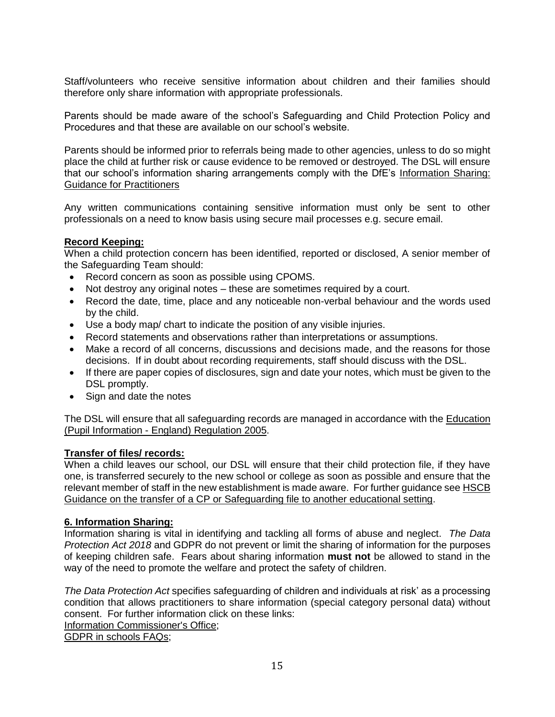Staff/volunteers who receive sensitive information about children and their families should therefore only share information with appropriate professionals.

Parents should be made aware of the school's Safeguarding and Child Protection Policy and Procedures and that these are available on our school's website.

Parents should be informed prior to referrals being made to other agencies, unless to do so might place the child at further risk or cause evidence to be removed or destroyed. The DSL will ensure that our school's information sharing arrangements comply with the DfE's [Information Sharing:](https://www.gov.uk/government/publications/safeguarding-practitioners-information-sharing-advice)  [Guidance for Practitioners](https://www.gov.uk/government/publications/safeguarding-practitioners-information-sharing-advice)

Any written communications containing sensitive information must only be sent to other professionals on a need to know basis using secure mail processes e.g. secure email.

#### **Record Keeping:**

When a child protection concern has been identified, reported or disclosed, A senior member of the Safeguarding Team should:

- Record concern as soon as possible using CPOMS.
- Not destroy any original notes these are sometimes required by a court.
- Record the date, time, place and any noticeable non-verbal behaviour and the words used by the child.
- Use a body map/ chart to indicate the position of any visible injuries.
- Record statements and observations rather than interpretations or assumptions.
- Make a record of all concerns, discussions and decisions made, and the reasons for those decisions. If in doubt about recording requirements, staff should discuss with the DSL.
- If there are paper copies of disclosures, sign and date your notes, which must be given to the DSL promptly.
- Sign and date the notes

The DSL will ensure that all safeguarding records are managed in accordance with the [Education](http://www.legislation.gov.uk/uksi/2005/1437/regulation/6/made)  (Pupil Information - [England\) Regulation 2005.](http://www.legislation.gov.uk/uksi/2005/1437/regulation/6/made)

#### **Transfer of files/ records:**

When a child leaves our school, our DSL will ensure that their child protection file, if they have one, is transferred securely to the new school or college as soon as possible and ensure that the relevant member of staff in the new establishment is made aware. For further guidance se[e HSCB](http://www.harrowlscb.co.uk/wp-content/uploads/2015/06/Guidance-on-the-transfer-of-a-child-protection-safeguarding-file-1.pdf)  [Guidance on the transfer of a CP or Safeguarding file to another educational setting.](http://www.harrowlscb.co.uk/wp-content/uploads/2015/06/Guidance-on-the-transfer-of-a-child-protection-safeguarding-file-1.pdf)

#### **6. Information Sharing:**

Information sharing is vital in identifying and tackling all forms of abuse and neglect. *The Data Protection Act 2018* and GDPR do not prevent or limit the sharing of information for the purposes of keeping children safe. Fears about sharing information **must not** be allowed to stand in the way of the need to promote the welfare and protect the safety of children.

*The Data Protection Act* specifies safeguarding of children and individuals at risk' as a processing condition that allows practitioners to share information (special category personal data) without consent.For further information click on these links:

[Information Commissioner's Office;](https://ico.org.uk/)

[GDPR in schools FAQs;](https://www.gdpr.school/faqs/)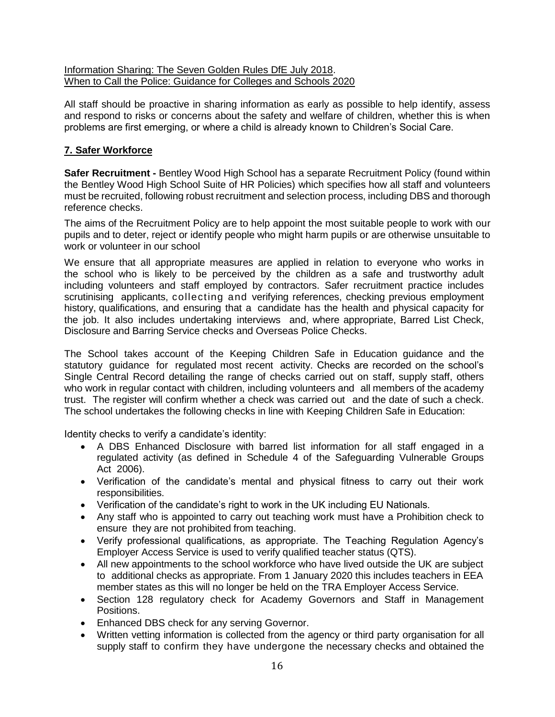#### [Information Sharing: The Seven Golden Rules DfE July 2018.](https://assets.publishing.service.gov.uk/government/uploads/system/uploads/attachment_data/file/721581/Information_sharing_advice_practitioners_safeguarding_services.pdf) [When to Call the Police: Guidance for Colleges and Schools 2020](https://www.npcc.police.uk/documents/Children%20and%20Young%20people/When%20to%20call%20the%20police%20guidance%20for%20schools%20and%20colleges.pdf)

All staff should be proactive in sharing information as early as possible to help identify, assess and respond to risks or concerns about the safety and welfare of children, whether this is when problems are first emerging, or where a child is already known to Children's Social Care.

## **7. Safer Workforce**

**Safer Recruitment -** Bentley Wood High School has a separate Recruitment Policy (found within the Bentley Wood High School Suite of HR Policies) which specifies how all staff and volunteers must be recruited, following robust recruitment and selection process, including DBS and thorough reference checks.

The aims of the Recruitment Policy are to help appoint the most suitable people to work with our pupils and to deter, reject or identify people who might harm pupils or are otherwise unsuitable to work or volunteer in our school

We ensure that all appropriate measures are applied in relation to everyone who works in the school who is likely to be perceived by the children as a safe and trustworthy adult including volunteers and staff employed by contractors. Safer recruitment practice includes scrutinising applicants, collecting and verifying references, checking previous employment history, qualifications, and ensuring that a candidate has the health and physical capacity for the job. It also includes undertaking interviews and, where appropriate, Barred List Check, Disclosure and Barring Service checks and Overseas Police Checks.

The School takes account of the Keeping Children Safe in Education guidance and the statutory guidance for regulated most recent activity. Checks are recorded on the school's Single Central Record detailing the range of checks carried out on staff, supply staff, others who work in regular contact with children, including volunteers and all members of the academy trust. The register will confirm whether a check was carried out and the date of such a check. The school undertakes the following checks in line with Keeping Children Safe in Education:

Identity checks to verify a candidate's identity:

- A DBS Enhanced Disclosure with barred list information for all staff engaged in a regulated activity (as defined in Schedule 4 of the Safeguarding Vulnerable Groups Act 2006).
- Verification of the candidate's mental and physical fitness to carry out their work responsibilities.
- Verification of the candidate's right to work in the UK including EU Nationals.
- Any staff who is appointed to carry out teaching work must have a Prohibition check to ensure they are not prohibited from teaching.
- Verify professional qualifications, as appropriate. The Teaching Regulation Agency's Employer Access Service is used to verify qualified teacher status (QTS).
- All new appointments to the school workforce who have lived outside the UK are subject to additional checks as appropriate. From 1 January 2020 this includes teachers in EEA member states as this will no longer be held on the TRA Employer Access Service.
- Section 128 regulatory check for Academy Governors and Staff in Management Positions.
- Enhanced DBS check for any serving Governor.
- Written vetting information is collected from the agency or third party organisation for all supply staff to confirm they have undergone the necessary checks and obtained the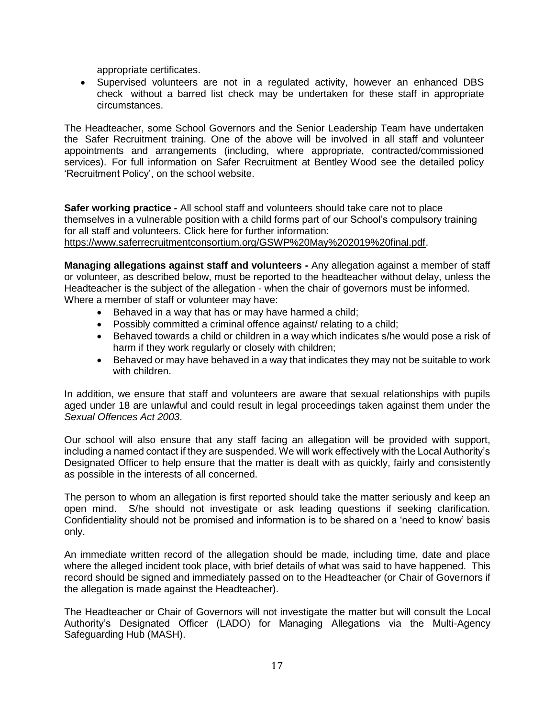appropriate certificates.

• Supervised volunteers are not in a regulated activity, however an enhanced DBS check without a barred list check may be undertaken for these staff in appropriate circumstances.

The Headteacher, some School Governors and the Senior Leadership Team have undertaken the Safer Recruitment training. One of the above will be involved in all staff and volunteer appointments and arrangements (including, where appropriate, contracted/commissioned services). For full information on Safer Recruitment at Bentley Wood see the detailed policy 'Recruitment Policy', on the school website.

**Safer working practice -** All school staff and volunteers should take care not to place themselves in a vulnerable position with a child forms part of our School's compulsory training for all staff and volunteers. Click here for further information: [https://www.saferrecruitmentconsortium.org/GSWP%20May%202019%20final.pdf.](https://www.saferrecruitmentconsortium.org/GSWP%20May%202019%20final.pdf)

**Managing allegations against staff and volunteers -** Any allegation against a member of staff or volunteer, as described below, must be reported to the headteacher without delay, unless the Headteacher is the subject of the allegation - when the chair of governors must be informed. Where a member of staff or volunteer may have:

- Behaved in a way that has or may have harmed a child;
- Possibly committed a criminal offence against/ relating to a child;
- Behaved towards a child or children in a way which indicates s/he would pose a risk of harm if they work regularly or closely with children;
- Behaved or may have behaved in a way that indicates they may not be suitable to work with children.

In addition, we ensure that staff and volunteers are aware that sexual relationships with pupils aged under 18 are unlawful and could result in legal proceedings taken against them under the *Sexual Offences Act 2003*.

Our school will also ensure that any staff facing an allegation will be provided with support, including a named contact if they are suspended. We will work effectively with the Local Authority's Designated Officer to help ensure that the matter is dealt with as quickly, fairly and consistently as possible in the interests of all concerned.

The person to whom an allegation is first reported should take the matter seriously and keep an open mind. S/he should not investigate or ask leading questions if seeking clarification. Confidentiality should not be promised and information is to be shared on a 'need to know' basis only.

An immediate written record of the allegation should be made, including time, date and place where the alleged incident took place, with brief details of what was said to have happened. This record should be signed and immediately passed on to the Headteacher (or Chair of Governors if the allegation is made against the Headteacher).

The Headteacher or Chair of Governors will not investigate the matter but will consult the Local Authority's Designated Officer (LADO) for Managing Allegations via the Multi-Agency Safeguarding Hub (MASH).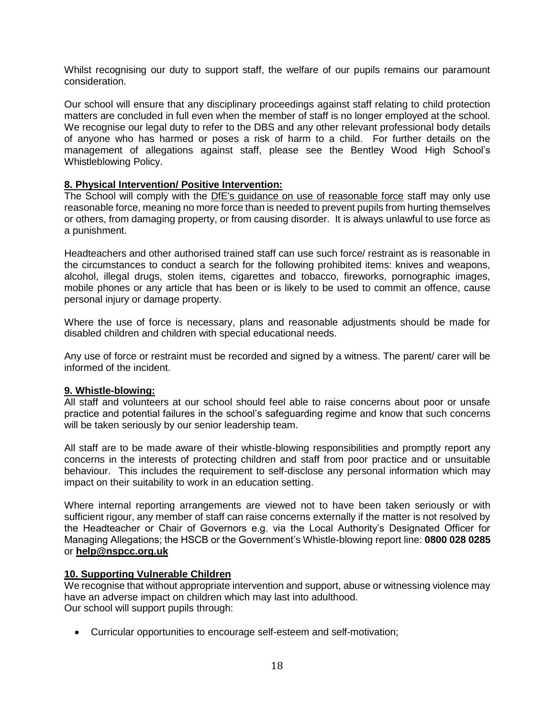Whilst recognising our duty to support staff, the welfare of our pupils remains our paramount consideration.

Our school will ensure that any disciplinary proceedings against staff relating to child protection matters are concluded in full even when the member of staff is no longer employed at the school. We recognise our legal duty to refer to the DBS and any other relevant professional body details of anyone who has harmed or poses a risk of harm to a child. For further details on the management of allegations against staff, please see the Bentley Wood High School's Whistleblowing Policy.

#### **8. Physical Intervention/ Positive Intervention:**

The School will comply with the [DfE's guidance on use of reasonable force](https://www.gov.uk/government/publications/use-of-reasonable-force-in-schools) staff may only use reasonable force, meaning no more force than is needed to prevent pupils from hurting themselves or others, from damaging property, or from causing disorder. It is always unlawful to use force as a punishment.

Headteachers and other authorised trained staff can use such force/ restraint as is reasonable in the circumstances to conduct a search for the following prohibited items: knives and weapons, alcohol, illegal drugs, stolen items, cigarettes and tobacco, fireworks, pornographic images, mobile phones or any article that has been or is likely to be used to commit an offence, cause personal injury or damage property.

Where the use of force is necessary, plans and reasonable adjustments should be made for disabled children and children with special educational needs.

Any use of force or restraint must be recorded and signed by a witness. The parent/ carer will be informed of the incident.

#### **9. Whistle-blowing:**

All staff and volunteers at our school should feel able to raise concerns about poor or unsafe practice and potential failures in the school's safeguarding regime and know that such concerns will be taken seriously by our senior leadership team.

All staff are to be made aware of their whistle-blowing responsibilities and promptly report any concerns in the interests of protecting children and staff from poor practice and or unsuitable behaviour. This includes the requirement to self-disclose any personal information which may impact on their suitability to work in an education setting.

Where internal reporting arrangements are viewed not to have been taken seriously or with sufficient rigour, any member of staff can raise concerns externally if the matter is not resolved by the Headteacher or Chair of Governors e.g. via the Local Authority's Designated Officer for Managing Allegations; the HSCB or the Government's Whistle-blowing report line: **0800 028 0285**  or **[help@nspcc.org.uk](mailto:help@nspcc.org.uk)**

#### **10. Supporting Vulnerable Children**

We recognise that without appropriate intervention and support, abuse or witnessing violence may have an adverse impact on children which may last into adulthood. Our school will support pupils through:

• Curricular opportunities to encourage self-esteem and self-motivation;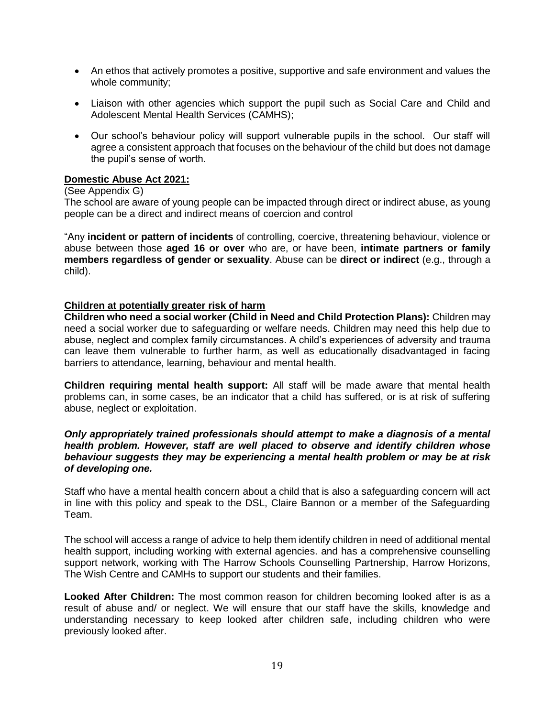- An ethos that actively promotes a positive, supportive and safe environment and values the whole community;
- Liaison with other agencies which support the pupil such as Social Care and Child and Adolescent Mental Health Services (CAMHS);
- Our school's behaviour policy will support vulnerable pupils in the school. Our staff will agree a consistent approach that focuses on the behaviour of the child but does not damage the pupil's sense of worth.

#### **Domestic Abuse Act 2021:**

#### (See Appendix G)

The school are aware of young people can be impacted through direct or indirect abuse, as young people can be a direct and indirect means of coercion and control

"Any **incident or pattern of incidents** of controlling, coercive, threatening behaviour, violence or abuse between those **aged 16 or over** who are, or have been, **intimate partners or family members regardless of gender or sexuality**. Abuse can be **direct or indirect** (e.g., through a child).

#### **Children at potentially greater risk of harm**

**Children who need a social worker (Child in Need and Child Protection Plans):** Children may need a social worker due to safeguarding or welfare needs. Children may need this help due to abuse, neglect and complex family circumstances. A child's experiences of adversity and trauma can leave them vulnerable to further harm, as well as educationally disadvantaged in facing barriers to attendance, learning, behaviour and mental health.

**Children requiring mental health support:** All staff will be made aware that mental health problems can, in some cases, be an indicator that a child has suffered, or is at risk of suffering abuse, neglect or exploitation.

#### *Only appropriately trained professionals should attempt to make a diagnosis of a mental health problem. However, staff are well placed to observe and identify children whose behaviour suggests they may be experiencing a mental health problem or may be at risk of developing one.*

Staff who have a mental health concern about a child that is also a safeguarding concern will act in line with this policy and speak to the DSL, Claire Bannon or a member of the Safeguarding Team.

The school will access a range of advice to help them identify children in need of additional mental health support, including working with external agencies. and has a comprehensive counselling support network, working with The Harrow Schools Counselling Partnership, Harrow Horizons, The Wish Centre and CAMHs to support our students and their families.

**Looked After Children:** The most common reason for children becoming looked after is as a result of abuse and/ or neglect. We will ensure that our staff have the skills, knowledge and understanding necessary to keep looked after children safe, including children who were previously looked after.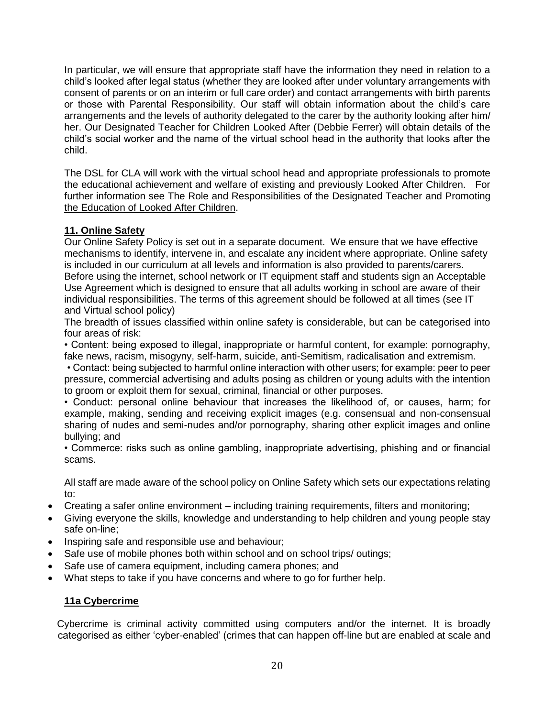In particular, we will ensure that appropriate staff have the information they need in relation to a child's looked after legal status (whether they are looked after under voluntary arrangements with consent of parents or on an interim or full care order) and contact arrangements with birth parents or those with Parental Responsibility. Our staff will obtain information about the child's care arrangements and the levels of authority delegated to the carer by the authority looking after him/ her. Our Designated Teacher for Children Looked After (Debbie Ferrer) will obtain details of the child's social worker and the name of the virtual school head in the authority that looks after the child.

The DSL for CLA will work with the virtual school head and appropriate professionals to promote the educational achievement and welfare of existing and previously Looked After Children. For further information see [The Role and Responsibilities of the Designated Teacher](https://www.gov.uk/government/publications/designated-teacher-for-looked-after-children) and [Promoting](https://www.gov.uk/government/publications/promoting-the-education-of-looked-after-children)  [the Education of Looked After Children.](https://www.gov.uk/government/publications/promoting-the-education-of-looked-after-children)

## **11. Online Safety**

Our Online Safety Policy is set out in a separate document. We ensure that we have effective mechanisms to identify, intervene in, and escalate any incident where appropriate. Online safety is included in our curriculum at all levels and information is also provided to parents/carers. Before using the internet, school network or IT equipment staff and students sign an Acceptable Use Agreement which is designed to ensure that all adults working in school are aware of their individual responsibilities. The terms of this agreement should be followed at all times (see IT and Virtual school policy)

The breadth of issues classified within online safety is considerable, but can be categorised into four areas of risk:

• Content: being exposed to illegal, inappropriate or harmful content, for example: pornography, fake news, racism, misogyny, self-harm, suicide, anti-Semitism, radicalisation and extremism.

• Contact: being subjected to harmful online interaction with other users; for example: peer to peer pressure, commercial advertising and adults posing as children or young adults with the intention to groom or exploit them for sexual, criminal, financial or other purposes.

• Conduct: personal online behaviour that increases the likelihood of, or causes, harm; for example, making, sending and receiving explicit images (e.g. consensual and non-consensual sharing of nudes and semi-nudes and/or pornography, sharing other explicit images and online bullying; and

• Commerce: risks such as online gambling, inappropriate advertising, phishing and or financial scams.

All staff are made aware of the school policy on Online Safety which sets our expectations relating to:

- Creating a safer online environment including training requirements, filters and monitoring;
- Giving everyone the skills, knowledge and understanding to help children and young people stay safe on-line;
- Inspiring safe and responsible use and behaviour;
- Safe use of mobile phones both within school and on school trips/ outings;
- Safe use of camera equipment, including camera phones; and
- What steps to take if you have concerns and where to go for further help.

#### **11a Cybercrime**

 Cybercrime is criminal activity committed using computers and/or the internet. It is broadly categorised as either 'cyber-enabled' (crimes that can happen off-line but are enabled at scale and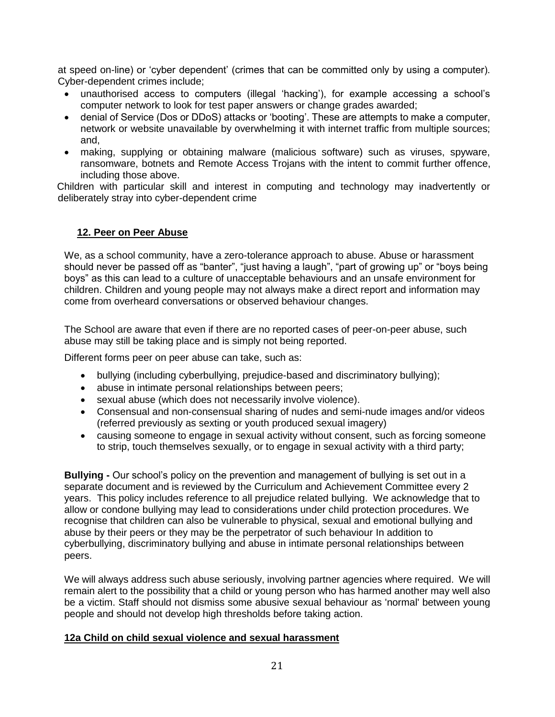at speed on-line) or 'cyber dependent' (crimes that can be committed only by using a computer). Cyber-dependent crimes include;

- unauthorised access to computers (illegal 'hacking'), for example accessing a school's computer network to look for test paper answers or change grades awarded;
- denial of Service (Dos or DDoS) attacks or 'booting'. These are attempts to make a computer, network or website unavailable by overwhelming it with internet traffic from multiple sources; and,
- making, supplying or obtaining malware (malicious software) such as viruses, spyware, ransomware, botnets and Remote Access Trojans with the intent to commit further offence, including those above.

 Children with particular skill and interest in computing and technology may inadvertently or deliberately stray into cyber-dependent crime

#### **12. Peer on Peer Abuse**

We, as a school community, have a zero-tolerance approach to abuse. Abuse or harassment should never be passed off as "banter", "just having a laugh", "part of growing up" or "boys being boys" as this can lead to a culture of unacceptable behaviours and an unsafe environment for children. Children and young people may not always make a direct report and information may come from overheard conversations or observed behaviour changes.

The School are aware that even if there are no reported cases of peer-on-peer abuse, such abuse may still be taking place and is simply not being reported.

Different forms peer on peer abuse can take, such as:

- bullying (including cyberbullying, prejudice-based and discriminatory bullying);
- abuse in intimate personal relationships between peers;
- [sexual abuse](https://safeguarding.network/safeguarding-resources/sexual-abuse/) (which does not necessarily involve violence).
- Consensual and non-consensual sharing of nudes and semi-nude images and/or videos (referred previously as sexting or youth produced sexual imagery)
- causing someone to engage in sexual activity without consent, such as forcing someone to strip, touch themselves sexually, or to engage in sexual activity with a third party;

**Bullying -** Our school's policy on the prevention and management of bullying is set out in a separate document and is reviewed by the Curriculum and Achievement Committee every 2 years. This policy includes reference to all prejudice related bullying. We acknowledge that to allow or condone bullying may lead to considerations under child protection procedures. We recognise that children can also be vulnerable to physical, sexual and emotional bullying and abuse by their peers or they may be the perpetrator of such behaviour In addition to cyberbullying, discriminatory bullying and abuse in intimate personal relationships between peers.

We will always address such abuse seriously, involving partner agencies where required. We will remain alert to the possibility that a child or young person who has harmed another may well also be a victim. Staff should not dismiss some abusive sexual behaviour as 'normal' between young people and should not develop high thresholds before taking action.

#### **12a Child on child sexual violence and sexual harassment**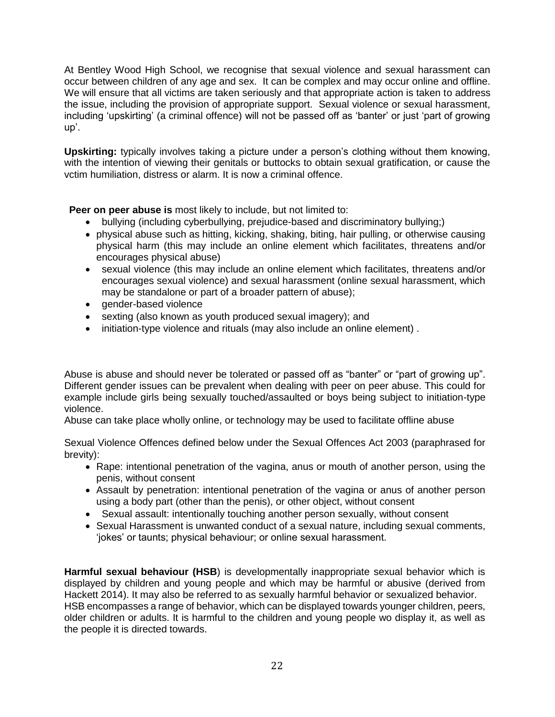At Bentley Wood High School, we recognise that sexual violence and sexual harassment can occur between children of any age and sex.It can be complex and may occur online and offline. We will ensure that all victims are taken seriously and that appropriate action is taken to address the issue, including the provision of appropriate support. Sexual violence or sexual harassment, including 'upskirting' (a criminal offence) will not be passed off as 'banter' or just 'part of growing up'.

**Upskirting:** typically involves taking a picture under a person's clothing without them knowing, with the intention of viewing their genitals or buttocks to obtain sexual gratification, or cause the vctim humiliation, distress or alarm. It is now a criminal offence.

**Peer on peer abuse is** most likely to include, but not limited to:

- bullying (including cyberbullying, prejudice-based and discriminatory bullying;)
- physical abuse such as hitting, kicking, shaking, biting, hair pulling, or otherwise causing physical harm (this may include an online element which facilitates, threatens and/or encourages physical abuse)
- sexual violence (this may include an online element which facilitates, threatens and/or encourages sexual violence) and sexual harassment (online sexual harassment, which may be standalone or part of a broader pattern of abuse);
- gender-based violence
- sexting (also known as youth produced sexual imagery); and
- initiation-type violence and rituals (may also include an online element) .

Abuse is abuse and should never be tolerated or passed off as "banter" or "part of growing up". Different gender issues can be prevalent when dealing with peer on peer abuse. This could for example include girls being sexually touched/assaulted or boys being subject to initiation-type violence.

Abuse can take place wholly online, or technology may be used to facilitate offline abuse

Sexual Violence Offences defined below under the Sexual Offences Act 2003 (paraphrased for brevity):

- Rape: intentional penetration of the vagina, anus or mouth of another person, using the penis, without consent
- Assault by penetration: intentional penetration of the vagina or anus of another person using a body part (other than the penis), or other object, without consent
- Sexual assault: intentionally touching another person sexually, without consent
- Sexual Harassment is unwanted conduct of a sexual nature, including sexual comments, 'jokes' or taunts; physical behaviour; or online sexual harassment.

**Harmful sexual behaviour (HSB**) is developmentally inappropriate sexual behavior which is displayed by children and young people and which may be harmful or abusive (derived from Hackett 2014). It may also be referred to as sexually harmful behavior or sexualized behavior. HSB encompasses a range of behavior, which can be displayed towards younger children, peers, older children or adults. It is harmful to the children and young people wo display it, as well as the people it is directed towards.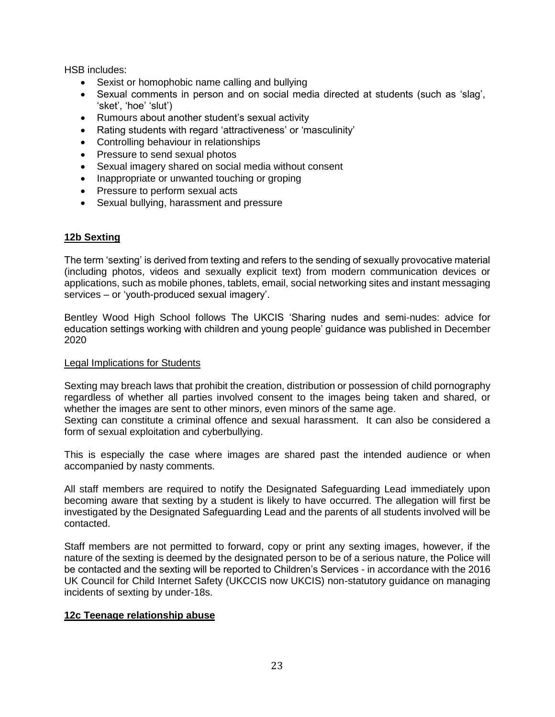HSB includes:

- Sexist or homophobic name calling and bullying
- Sexual comments in person and on social media directed at students (such as 'slag', 'sket', 'hoe' 'slut')
- Rumours about another student's sexual activity
- Rating students with regard 'attractiveness' or 'masculinity'
- Controlling behaviour in relationships
- Pressure to send sexual photos
- Sexual imagery shared on social media without consent
- Inappropriate or unwanted touching or groping
- Pressure to perform sexual acts
- Sexual bullying, harassment and pressure

#### **12b Sexting**

The term 'sexting' is derived from texting and refers to the sending of sexually provocative material (including photos, videos and sexually explicit text) from modern communication devices or applications, such as mobile phones, tablets, email, social networking sites and instant messaging services – or 'youth-produced sexual imagery'.

Bentley Wood High School follows The UKCIS 'Sharing nudes and semi-nudes: advice for education settings working with children and young people' guidance was published in December 2020

#### Legal Implications for Students

Sexting may breach laws that prohibit the creation, distribution or possession of child pornography regardless of whether all parties involved consent to the images being taken and shared, or whether the images are sent to other minors, even minors of the same age.

Sexting can constitute a criminal offence and sexual harassment. It can also be considered a form of sexual exploitation and cyberbullying.

This is especially the case where images are shared past the intended audience or when accompanied by nasty comments.

All staff members are required to notify the Designated Safeguarding Lead immediately upon becoming aware that sexting by a student is likely to have occurred. The allegation will first be investigated by the Designated Safeguarding Lead and the parents of all students involved will be contacted.

Staff members are not permitted to forward, copy or print any sexting images, however, if the nature of the sexting is deemed by the designated person to be of a serious nature, the Police will be contacted and the sexting will be reported to Children's Services - in accordance with the 2016 UK Council for Child Internet Safety (UKCCIS now UKCIS) non-statutory guidance on managing incidents of sexting by under-18s.

#### **12c Teenage relationship abuse**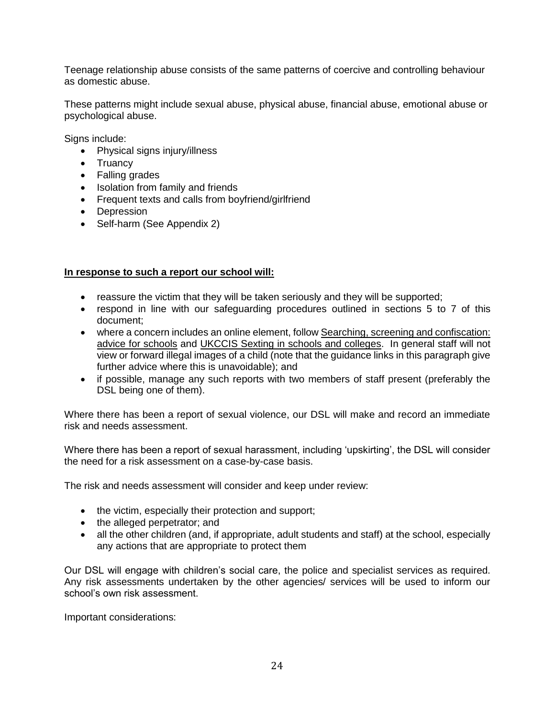Teenage relationship abuse consists of the same patterns of coercive and controlling behaviour as domestic abuse.

These patterns might include sexual abuse, physical abuse, financial abuse, emotional abuse or psychological abuse.

Signs include:

- Physical signs injury/illness
- Truancy
- Falling grades
- Isolation from family and friends
- Frequent texts and calls from boyfriend/girlfriend
- Depression
- Self-harm (See Appendix 2)

#### **In response to such a report our school will:**

- reassure the victim that they will be taken seriously and they will be supported;
- respond in line with our safeguarding procedures outlined in sections 5 to 7 of this document;
- where a concern includes an online element, follow Searching, screening and confiscation: [advice for schools](https://www.gov.uk/government/publications/searching-screening-and-confiscation) and [UKCCIS Sexting in schools and colleges.](https://www.gov.uk/government/groups/uk-council-for-child-internet-safety-ukccis) In general staff will not view or forward illegal images of a child (note that the guidance links in this paragraph give further advice where this is unavoidable); and
- if possible, manage any such reports with two members of staff present (preferably the DSL being one of them).

Where there has been a report of sexual violence, our DSL will make and record an immediate risk and needs assessment.

Where there has been a report of sexual harassment, including 'upskirting', the DSL will consider the need for a risk assessment on a case-by-case basis.

The risk and needs assessment will consider and keep under review:

- the victim, especially their protection and support;
- the alleged perpetrator; and
- all the other children (and, if appropriate, adult students and staff) at the school, especially any actions that are appropriate to protect them

Our DSL will engage with children's social care, the police and specialist services as required. Any risk assessments undertaken by the other agencies/ services will be used to inform our school's own risk assessment.

Important considerations: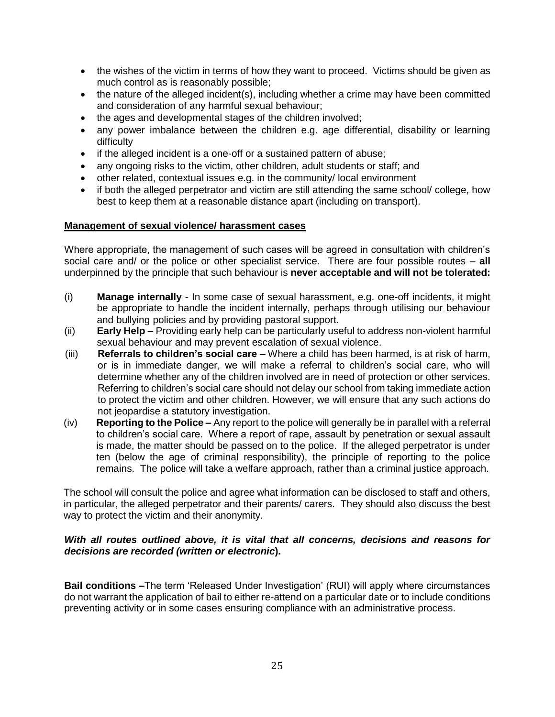- the wishes of the victim in terms of how they want to proceed. Victims should be given as much control as is reasonably possible;
- the nature of the alleged incident(s), including whether a crime may have been committed and consideration of any harmful sexual behaviour;
- the ages and developmental stages of the children involved;
- any power imbalance between the children e.g. age differential, disability or learning difficulty
- if the alleged incident is a one-off or a sustained pattern of abuse;
- any ongoing risks to the victim, other children, adult students or staff; and
- other related, contextual issues e.g. in the community/ local environment
- if both the alleged perpetrator and victim are still attending the same school/ college, how best to keep them at a reasonable distance apart (including on transport).

#### **Management of sexual violence/ harassment cases**

Where appropriate, the management of such cases will be agreed in consultation with children's social care and/ or the police or other specialist service. There are four possible routes – **all** underpinned by the principle that such behaviour is **never acceptable and will not be tolerated:**

- (i) **Manage internally** In some case of sexual harassment, e.g. one-off incidents, it might be appropriate to handle the incident internally, perhaps through utilising our behaviour and bullying policies and by providing pastoral support.
- (ii) **Early Help**  Providing early help can be particularly useful to address non-violent harmful sexual behaviour and may prevent escalation of sexual violence.
- (iii) **Referrals to children's social care**  Where a child has been harmed, is at risk of harm, or is in immediate danger, we will make a referral to children's social care, who will determine whether any of the children involved are in need of protection or other services. Referring to children's social care should not delay our school from taking immediate action to protect the victim and other children. However, we will ensure that any such actions do not jeopardise a statutory investigation.
- (iv) **Reporting to the Police –** Any report to the police will generally be in parallel with a referral to children's social care. Where a report of rape, assault by penetration or sexual assault is made, the matter should be passed on to the police. If the alleged perpetrator is under ten (below the age of criminal responsibility), the principle of reporting to the police remains. The police will take a welfare approach, rather than a criminal justice approach.

The school will consult the police and agree what information can be disclosed to staff and others, in particular, the alleged perpetrator and their parents/ carers. They should also discuss the best way to protect the victim and their anonymity.

#### *With all routes outlined above, it is vital that all concerns, decisions and reasons for decisions are recorded (written or electronic***).**

**Bail conditions –**The term 'Released Under Investigation' (RUI) will apply where circumstances do not warrant the application of bail to either re-attend on a particular date or to include conditions preventing activity or in some cases ensuring compliance with an administrative process.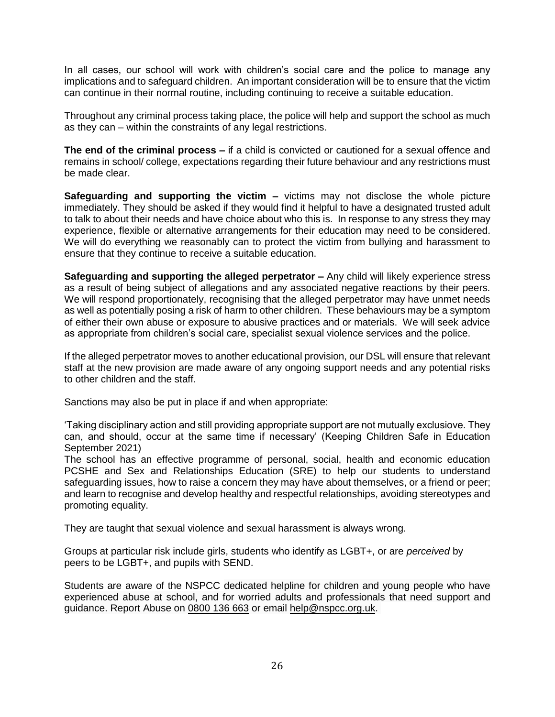In all cases, our school will work with children's social care and the police to manage any implications and to safeguard children. An important consideration will be to ensure that the victim can continue in their normal routine, including continuing to receive a suitable education.

Throughout any criminal process taking place, the police will help and support the school as much as they can – within the constraints of any legal restrictions.

**The end of the criminal process –** if a child is convicted or cautioned for a sexual offence and remains in school/ college, expectations regarding their future behaviour and any restrictions must be made clear.

**Safeguarding and supporting the victim –** victims may not disclose the whole picture immediately. They should be asked if they would find it helpful to have a designated trusted adult to talk to about their needs and have choice about who this is. In response to any stress they may experience, flexible or alternative arrangements for their education may need to be considered. We will do everything we reasonably can to protect the victim from bullying and harassment to ensure that they continue to receive a suitable education.

**Safeguarding and supporting the alleged perpetrator –** Any child will likely experience stress as a result of being subject of allegations and any associated negative reactions by their peers. We will respond proportionately, recognising that the alleged perpetrator may have unmet needs as well as potentially posing a risk of harm to other children. These behaviours may be a symptom of either their own abuse or exposure to abusive practices and or materials. We will seek advice as appropriate from children's social care, specialist sexual violence services and the police.

If the alleged perpetrator moves to another educational provision, our DSL will ensure that relevant staff at the new provision are made aware of any ongoing support needs and any potential risks to other children and the staff.

Sanctions may also be put in place if and when appropriate:

'Taking disciplinary action and still providing appropriate support are not mutually exclusiove. They can, and should, occur at the same time if necessary' (Keeping Children Safe in Education September 2021)

The school has an effective programme of personal, social, health and economic education PCSHE and Sex and Relationships Education (SRE) to help our students to understand safeguarding issues, how to raise a concern they may have about themselves, or a friend or peer; and learn to recognise and develop healthy and respectful relationships, avoiding stereotypes and promoting equality.

They are taught that sexual violence and sexual harassment is always wrong.

Groups at particular risk include girls, students who identify as LGBT+, or are *perceived* by peers to be LGBT+, and pupils with SEND.

Students are aware of the NSPCC dedicated helpline for children and young people who have experienced abuse at school, and for worried adults and professionals that need support and guidance. Report Abuse on [0800 136 663](tel:0800136%20663) or email [help@nspcc.org.uk.](mailto:help@nspcc.org.uk)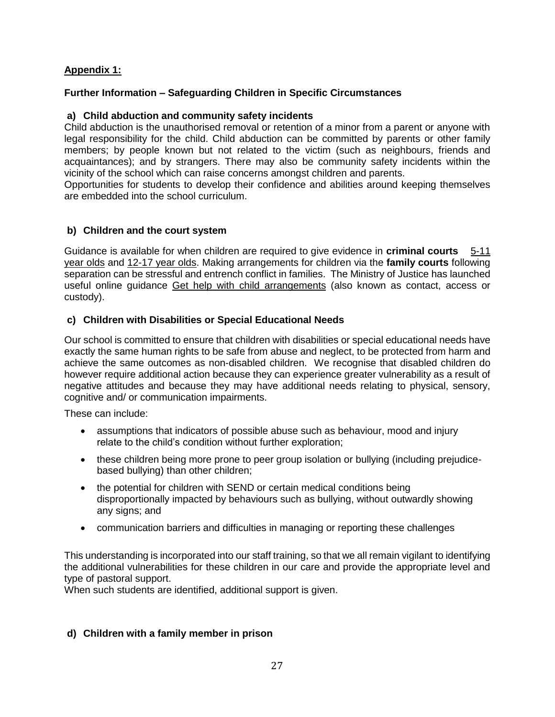## **Appendix 1:**

## **Further Information – Safeguarding Children in Specific Circumstances**

#### **a) Child abduction and community safety incidents**

Child abduction is the unauthorised removal or retention of a minor from a parent or anyone with legal responsibility for the child. Child abduction can be committed by parents or other family members; by people known but not related to the victim (such as neighbours, friends and acquaintances); and by strangers. There may also be community safety incidents within the vicinity of the school which can raise concerns amongst children and parents.

Opportunities for students to develop their confidence and abilities around keeping themselves are embedded into the school curriculum.

#### **b) Children and the court system**

Guidance is available for when children are required to give evidence in **criminal courts** [5-11](https://www.gov.uk/government/publications/young-witness-booklet-for-5-to-11-year-olds)  [year olds](https://www.gov.uk/government/publications/young-witness-booklet-for-5-to-11-year-olds) and [12-17 year olds.](https://www.gov.uk/government/publications/young-witness-booklet-for-12-to-17-year-olds) Making arrangements for children via the **family courts** following separation can be stressful and entrench conflict in families. The Ministry of Justice has launched useful online guidance [Get help with child arrangements](https://helpwithchildarrangements.service.justice.gov.uk/) (also known as contact, access or custody).

#### **c) Children with Disabilities or Special Educational Needs**

Our school is committed to ensure that children with disabilities or special educational needs have exactly the same human rights to be safe from abuse and neglect, to be protected from harm and achieve the same outcomes as non-disabled children. We recognise that disabled children do however require additional action because they can experience greater vulnerability as a result of negative attitudes and because they may have additional needs relating to physical, sensory, cognitive and/ or communication impairments.

These can include:

- assumptions that indicators of possible abuse such as behaviour, mood and injury relate to the child's condition without further exploration;
- these children being more prone to peer group isolation or bullying (including prejudicebased bullying) than other children;
- the potential for children with SEND or certain medical conditions being disproportionally impacted by behaviours such as bullying, without outwardly showing any signs; and
- communication barriers and difficulties in managing or reporting these challenges

This understanding is incorporated into our staff training, so that we all remain vigilant to identifying the additional vulnerabilities for these children in our care and provide the appropriate level and type of pastoral support.

When such students are identified, additional support is given.

#### **d) Children with a family member in prison**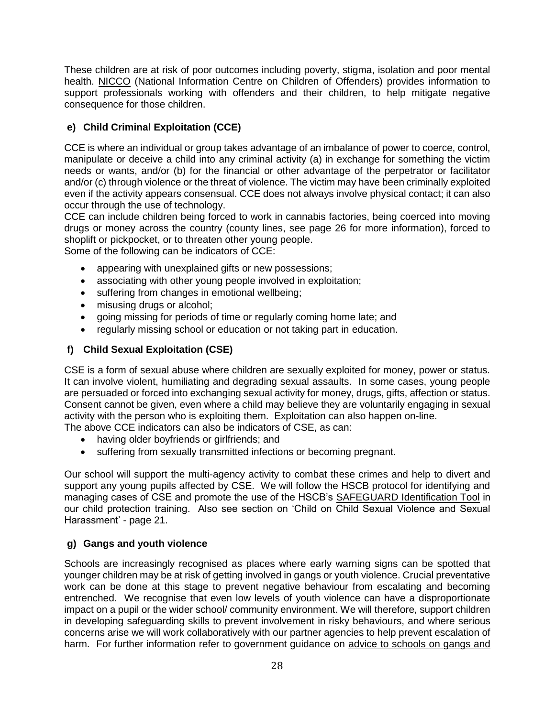These children are at risk of poor outcomes including poverty, stigma, isolation and poor mental health. [NICCO](https://www.nicco.org.uk/) (National Information Centre on Children of Offenders) provides information to support professionals working with offenders and their children, to help mitigate negative consequence for those children.

## **e) Child Criminal Exploitation (CCE)**

CCE is where an individual or group takes advantage of an imbalance of power to coerce, control, manipulate or deceive a child into any criminal activity (a) in exchange for something the victim needs or wants, and/or (b) for the financial or other advantage of the perpetrator or facilitator and/or (c) through violence or the threat of violence. The victim may have been criminally exploited even if the activity appears consensual. CCE does not always involve physical contact; it can also occur through the use of technology.

CCE can include children being forced to work in cannabis factories, being coerced into moving drugs or money across the country (county lines, see page 26 for more information), forced to shoplift or pickpocket, or to threaten other young people.

Some of the following can be indicators of CCE:

- appearing with unexplained gifts or new possessions;
- associating with other young people involved in exploitation;
- suffering from changes in emotional wellbeing;
- misusing drugs or alcohol;
- going missing for periods of time or regularly coming home late; and
- regularly missing school or education or not taking part in education.

## **f) Child Sexual Exploitation (CSE)**

CSE is a form of sexual abuse where children are sexually exploited for money, power or status. It can involve violent, humiliating and degrading sexual assaults. In some cases, young people are persuaded or forced into exchanging sexual activity for money, drugs, gifts, affection or status. Consent cannot be given, even where a child may believe they are voluntarily engaging in sexual activity with the person who is exploiting them. Exploitation can also happen on-line. The above CCE indicators can also be indicators of CSE, as can:

- having older boyfriends or girlfriends; and
- suffering from sexually transmitted infections or becoming pregnant.

Our school will support the multi-agency activity to combat these crimes and help to divert and support any young pupils affected by CSE. We will follow the HSCB protocol for identifying and managing cases of CSE and promote the use of the HSCB's [SAFEGUARD Identification Tool](http://www.harrowlscb.co.uk/wp-content/uploads/2015/05/S-A-F-E-G-U-A-R-D-cse-identification-tool.pdf) in our child protection training. Also see section on 'Child on Child Sexual Violence and Sexual Harassment' - page 21.

## **g) Gangs and youth violence**

Schools are increasingly recognised as places where early warning signs can be spotted that younger children may be at risk of getting involved in gangs or youth violence. Crucial preventative work can be done at this stage to prevent negative behaviour from escalating and becoming entrenched. We recognise that even low levels of youth violence can have a disproportionate impact on a pupil or the wider school/ community environment. We will therefore, support children in developing safeguarding skills to prevent involvement in risky behaviours, and where serious concerns arise we will work collaboratively with our partner agencies to help prevent escalation of harm. For further information refer to government guidance on [advice to schools on gangs and](https://www.gov.uk/government/publications/advice-to-schools-and-colleges-on-gangs-and-youth-violence)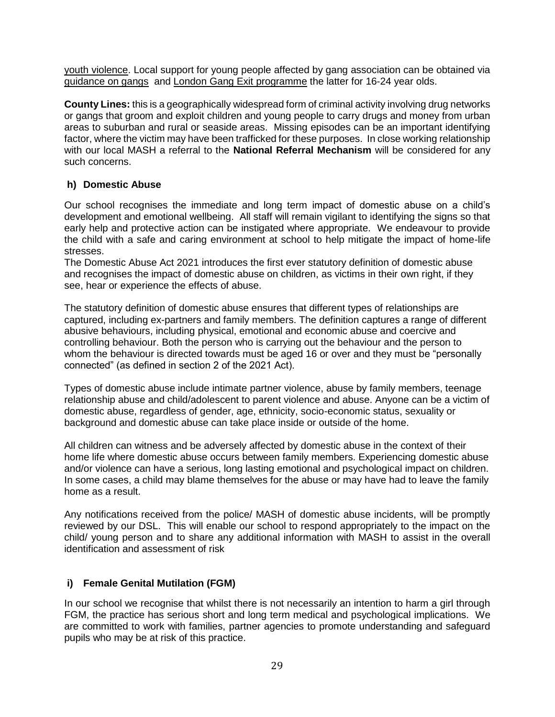[youth violence.](https://www.gov.uk/government/publications/advice-to-schools-and-colleges-on-gangs-and-youth-violence) Local support for young people affected by gang association can be obtained via [guidance on gangs](http://www.harrowlscb.co.uk/gangs-guidance/) and [London Gang Exit programme](https://www.london.gov.uk/what-we-do/mayors-office-policing-and-crime-mopac/our-priorities/gangs-and-serious-youth-violence-0) the latter for 16-24 year olds.

**County Lines:** this is a geographically widespread form of criminal activity involving drug networks or gangs that groom and exploit children and young people to carry drugs and money from urban areas to suburban and rural or seaside areas. Missing episodes can be an important identifying factor, where the victim may have been trafficked for these purposes. In close working relationship with our local MASH a referral to the **National Referral Mechanism** will be considered for any such concerns.

#### **h) Domestic Abuse**

Our school recognises the immediate and long term impact of domestic abuse on a child's development and emotional wellbeing. All staff will remain vigilant to identifying the signs so that early help and protective action can be instigated where appropriate. We endeavour to provide the child with a safe and caring environment at school to help mitigate the impact of home-life stresses.

The Domestic Abuse Act 2021 introduces the first ever statutory definition of domestic abuse and recognises the impact of domestic abuse on children, as victims in their own right, if they see, hear or experience the effects of abuse.

The statutory definition of domestic abuse ensures that different types of relationships are captured, including ex-partners and family members. The definition captures a range of different abusive behaviours, including physical, emotional and economic abuse and coercive and controlling behaviour. Both the person who is carrying out the behaviour and the person to whom the behaviour is directed towards must be aged 16 or over and they must be "personally connected" (as defined in section 2 of the 2021 Act).

Types of domestic abuse include intimate partner violence, abuse by family members, teenage relationship abuse and child/adolescent to parent violence and abuse. Anyone can be a victim of domestic abuse, regardless of gender, age, ethnicity, socio-economic status, sexuality or background and domestic abuse can take place inside or outside of the home.

All children can witness and be adversely affected by domestic abuse in the context of their home life where domestic abuse occurs between family members. Experiencing domestic abuse and/or violence can have a serious, long lasting emotional and psychological impact on children. In some cases, a child may blame themselves for the abuse or may have had to leave the family home as a result.

Any notifications received from the police/ MASH of domestic abuse incidents, will be promptly reviewed by our DSL. This will enable our school to respond appropriately to the impact on the child/ young person and to share any additional information with MASH to assist in the overall identification and assessment of risk

## **i) Female Genital Mutilation (FGM)**

In our school we recognise that whilst there is not necessarily an intention to harm a girl through FGM, the practice has serious short and long term medical and psychological implications. We are committed to work with families, partner agencies to promote understanding and safeguard pupils who may be at risk of this practice.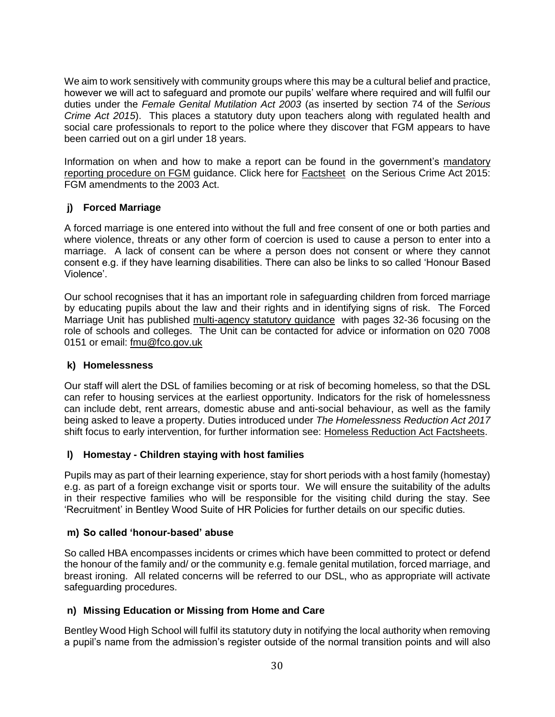We aim to work sensitively with community groups where this may be a cultural belief and practice, however we will act to safeguard and promote our pupils' welfare where required and will fulfil our duties under the *Female Genital Mutilation Act 2003* (as inserted by section 74 of the *Serious Crime Act 2015*). This places a statutory duty upon teachers along with regulated health and social care professionals to report to the police where they discover that FGM appears to have been carried out on a girl under 18 years.

Information on when and how to make a report can be found in the government's [mandatory](http://www.harrowlscb.co.uk/wp-content/uploads/2015/09/FGM-Mandatory-Reporting-procedural-info-FINAL.pdf)  [reporting procedure on FGM](http://www.harrowlscb.co.uk/wp-content/uploads/2015/09/FGM-Mandatory-Reporting-procedural-info-FINAL.pdf) guidance. Click here for [Factsheet](http://www.harrowlscb.co.uk/wp-content/uploads/2015/06/Fact_sheet_-_FGM_-_Act.pdf) on the Serious Crime Act 2015: FGM amendments to the 2003 Act.

## **j) Forced Marriage**

A forced marriage is one entered into without the full and free consent of one or both parties and where violence, threats or any other form of coercion is used to cause a person to enter into a marriage. A lack of consent can be where a person does not consent or where they cannot consent e.g. if they have learning disabilities. There can also be links to so called 'Honour Based Violence'.

Our school recognises that it has an important role in safeguarding children from forced marriage by educating pupils about the law and their rights and in identifying signs of risk. The Forced Marriage Unit has published [multi-agency statutory guidance](https://www.gov.uk/government/uploads/system/uploads/attachment_data/file/322310/HMG_Statutory_Guidance_publication_180614_Final.pdf) with pages 32-36 focusing on the role of schools and colleges. The Unit can be contacted for advice or information on 020 7008 0151 or email: [fmu@fco.gov.uk](mailto:fmu@fco.gov.uk)

#### **k) Homelessness**

Our staff will alert the DSL of families becoming or at risk of becoming homeless, so that the DSL can refer to housing services at the earliest opportunity. Indicators for the risk of homelessness can include debt, rent arrears, domestic abuse and anti-social behaviour, as well as the family being asked to leave a property. Duties introduced under *The Homelessness Reduction Act 2017* shift focus to early intervention, for further information see: [Homeless Reduction Act Factsheets.](https://www.gov.uk/government/publications/homelessness-reduction-bill-policy-factsheets)

## **l) Homestay - Children staying with host families**

Pupils may as part of their learning experience, stay for short periods with a host family (homestay) e.g. as part of a foreign exchange visit or sports tour. We will ensure the suitability of the adults in their respective families who will be responsible for the visiting child during the stay. See 'Recruitment' in Bentley Wood Suite of HR Policies for further details on our specific duties.

#### **m) So called 'honour-based' abuse**

So called HBA encompasses incidents or crimes which have been committed to protect or defend the honour of the family and/ or the community e.g. female genital mutilation, forced marriage, and breast ironing. All related concerns will be referred to our DSL, who as appropriate will activate safeguarding procedures.

## **n) Missing Education or Missing from Home and Care**

Bentley Wood High School will fulfil its statutory duty in notifying the local authority when removing a pupil's name from the admission's register outside of the normal transition points and will also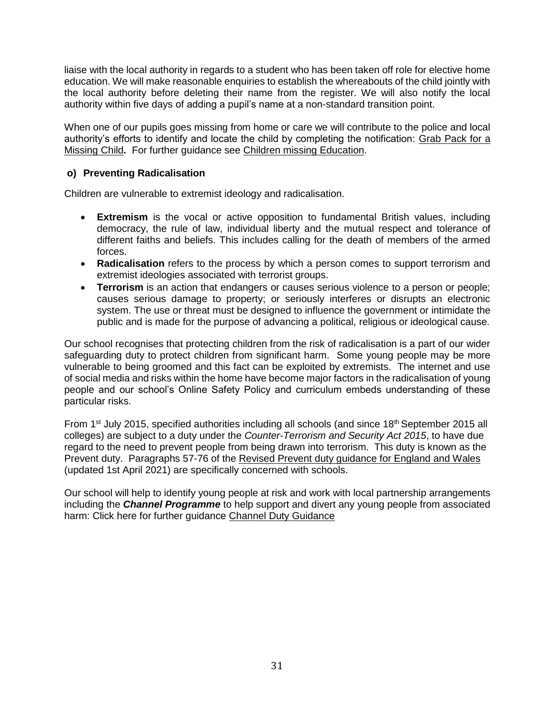liaise with the local authority in regards to a student who has been taken off role for elective home education. We will make reasonable enquiries to establish the whereabouts of the child jointly with the local authority before deleting their name from the register. We will also notify the local authority within five days of adding a pupil's name at a non-standard transition point.

When one of our pupils goes missing from home or care we will contribute to the police and local authority's efforts to identify and locate the child by completing the notification: [Grab Pack for a](http://www.harrowlscb.co.uk/wp-content/uploads/2015/06/GRAB-Pack-for-Missing-Children_Harrow-document.pdf)  [Missing Child](http://www.harrowlscb.co.uk/wp-content/uploads/2015/06/GRAB-Pack-for-Missing-Children_Harrow-document.pdf)**.** For further guidance see [Children missing Education.](https://www.gov.uk/government/publications/children-missing-education)

#### **o) Preventing Radicalisation**

Children are vulnerable to extremist ideology and radicalisation.

- **Extremism** is the vocal or active opposition to fundamental British values, including democracy, the rule of law, individual liberty and the mutual respect and tolerance of different faiths and beliefs. This includes calling for the death of members of the armed forces.
- **Radicalisation** refers to the process by which a person comes to support terrorism and extremist ideologies associated with terrorist groups.
- **Terrorism** is an action that endangers or causes serious violence to a person or people; causes serious damage to property; or seriously interferes or disrupts an electronic system. The use or threat must be designed to influence the government or intimidate the public and is made for the purpose of advancing a political, religious or ideological cause.

Our school recognises that protecting children from the risk of radicalisation is a part of our wider safeguarding duty to protect children from significant harm. Some young people may be more vulnerable to being groomed and this fact can be exploited by extremists. The internet and use of social media and risks within the home have become major factors in the radicalisation of young people and our school's Online Safety Policy and curriculum embeds understanding of these particular risks.

From 1<sup>st</sup> July 2015, specified authorities including all schools (and since 18<sup>th</sup> September 2015 all colleges) are subject to a duty under the *Counter-Terrorism and Security Act 2015*, to have due regard to the need to prevent people from being drawn into terrorism. This duty is known as the Prevent duty. Paragraphs 57-76 of the [Revised Prevent duty guidance for England and Wales](https://www.gov.uk/government/publications/prevent-duty-guidance/revised-prevent-duty-guidance-for-england-and-wales) (updated 1st April 2021) are specifically concerned with schools.

Our school will help to identify young people at risk and work with local partnership arrangements including the *Channel Programme* to help support and divert any young people from associated harm: Click here for further guidance [Channel Duty Guidance](https://www.gov.uk/government/uploads/system/uploads/attachment_data/file/425189/Channel_Duty_Guidance_April_2015.pdf)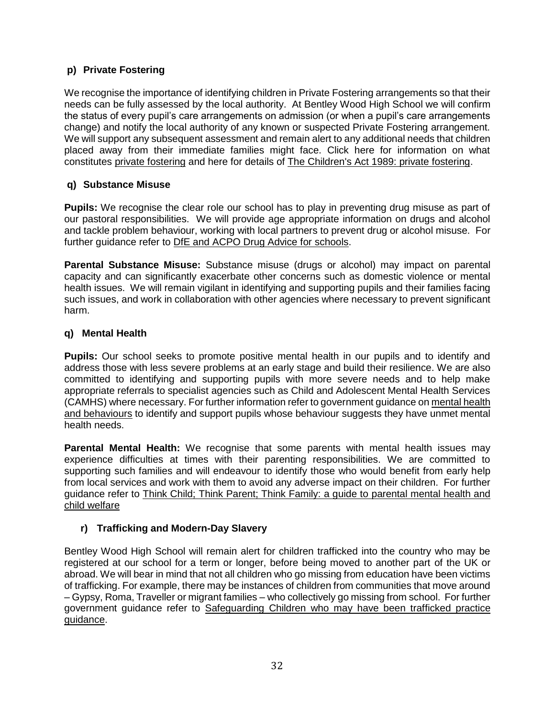## **p) Private Fostering**

We recognise the importance of identifying children in Private Fostering arrangements so that their needs can be fully assessed by the local authority. At Bentley Wood High School we will confirm the status of every pupil's care arrangements on admission (or when a pupil's care arrangements change) and notify the local authority of any known or suspected Private Fostering arrangement. We will support any subsequent assessment and remain alert to any additional needs that children placed away from their immediate families might face. Click here for information on what constitutes [private fostering](http://www.harrow.gov.uk/download/downloads/id/6620/privtae_fostering_leaflet) and here for details of [The Children's Act 1989: private fostering.](https://www.gov.uk/government/publications/children-act-1989-private-fostering)

## **q) Substance Misuse**

**Pupils:** We recognise the clear role our school has to play in preventing drug misuse as part of our pastoral responsibilities. We will provide age appropriate information on drugs and alcohol and tackle problem behaviour, working with local partners to prevent drug or alcohol misuse. For further guidance refer to [DfE and ACPO Drug Advice for schools.](https://www.gov.uk/government/publications/drugs-advice-for-schools)

**Parental Substance Misuse:** Substance misuse (drugs or alcohol) may impact on parental capacity and can significantly exacerbate other concerns such as domestic violence or mental health issues. We will remain vigilant in identifying and supporting pupils and their families facing such issues, and work in collaboration with other agencies where necessary to prevent significant harm.

#### **q) Mental Health**

**Pupils:** Our school seeks to promote positive mental health in our pupils and to identify and address those with less severe problems at an early stage and build their resilience. We are also committed to identifying and supporting pupils with more severe needs and to help make appropriate referrals to specialist agencies such as Child and Adolescent Mental Health Services (CAMHS) where necessary. For further information refer to government guidance on [mental health](https://www.gov.uk/government/publications/mental-health-and-behaviour-in-schools--2)  [and behaviours](https://www.gov.uk/government/publications/mental-health-and-behaviour-in-schools--2) to identify and support pupils whose behaviour suggests they have unmet mental health needs.

**Parental Mental Health:** We recognise that some parents with mental health issues may experience difficulties at times with their parenting responsibilities. We are committed to supporting such families and will endeavour to identify those who would benefit from early help from local services and work with them to avoid any adverse impact on their children. For further guidance refer to [Think Child; Think Parent; Think Family: a guide to parental mental health and](http://www.scie.org.uk/publications/guides/guide30/index.asp)  [child welfare](http://www.scie.org.uk/publications/guides/guide30/index.asp)

## **r) Trafficking and Modern-Day Slavery**

Bentley Wood High School will remain alert for children trafficked into the country who may be registered at our school for a term or longer, before being moved to another part of the UK or abroad. We will bear in mind that not all children who go missing from education have been victims of trafficking. For example, there may be instances of children from communities that move around – Gypsy, Roma, Traveller or migrant families – who collectively go missing from school. For further government guidance refer to [Safeguarding Children who may have been trafficked practice](https://www.gov.uk/government/publications/safeguarding-children-who-may-have-been-trafficked-practice-guidance)  [guidance.](https://www.gov.uk/government/publications/safeguarding-children-who-may-have-been-trafficked-practice-guidance)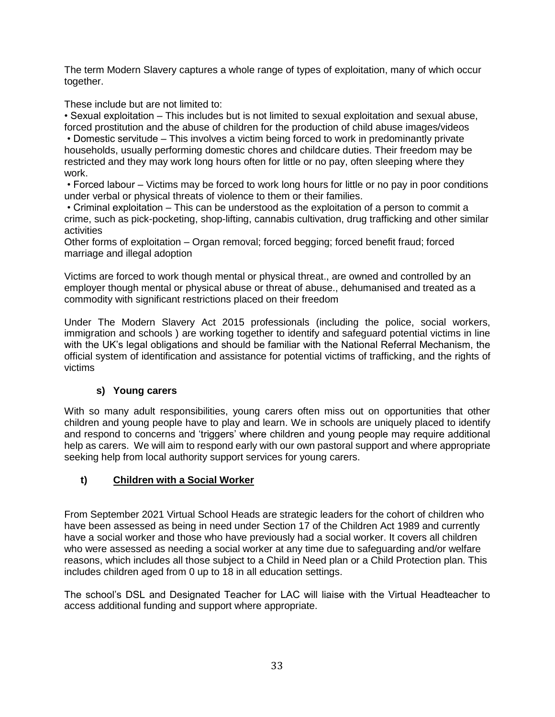The term Modern Slavery captures a whole range of types of exploitation, many of which occur together.

These include but are not limited to:

• Sexual exploitation – This includes but is not limited to sexual exploitation and sexual abuse, forced prostitution and the abuse of children for the production of child abuse images/videos

• Domestic servitude – This involves a victim being forced to work in predominantly private households, usually performing domestic chores and childcare duties. Their freedom may be restricted and they may work long hours often for little or no pay, often sleeping where they work.

• Forced labour – Victims may be forced to work long hours for little or no pay in poor conditions under verbal or physical threats of violence to them or their families.

• Criminal exploitation – This can be understood as the exploitation of a person to commit a crime, such as pick-pocketing, shop-lifting, cannabis cultivation, drug trafficking and other similar activities

Other forms of exploitation – Organ removal; forced begging; forced benefit fraud; forced marriage and illegal adoption

Victims are forced to work though mental or physical threat., are owned and controlled by an employer though mental or physical abuse or threat of abuse., dehumanised and treated as a commodity with significant restrictions placed on their freedom

Under The Modern Slavery Act 2015 professionals (including the police, social workers, immigration and schools ) are working together to identify and safeguard potential victims in line with the UK's legal obligations and should be familiar with the National Referral Mechanism, the official system of identification and assistance for potential victims of trafficking, and the rights of victims

## **s) Young carers**

With so many adult responsibilities, young carers often miss out on opportunities that other children and young people have to play and learn. We in schools are uniquely placed to identify and respond to concerns and 'triggers' where children and young people may require additional help as carers. We will aim to respond early with our own pastoral support and where appropriate seeking help from local authority support services for young carers.

## **t) Children with a Social Worker**

From September 2021 Virtual School Heads are strategic leaders for the cohort of children who have been assessed as being in need under Section 17 of the Children Act 1989 and currently have a social worker and those who have previously had a social worker. It covers all children who were assessed as needing a social worker at any time due to safeguarding and/or welfare reasons, which includes all those subject to a Child in Need plan or a Child Protection plan. This includes children aged from 0 up to 18 in all education settings.

The school's DSL and Designated Teacher for LAC will liaise with the Virtual Headteacher to access additional funding and support where appropriate.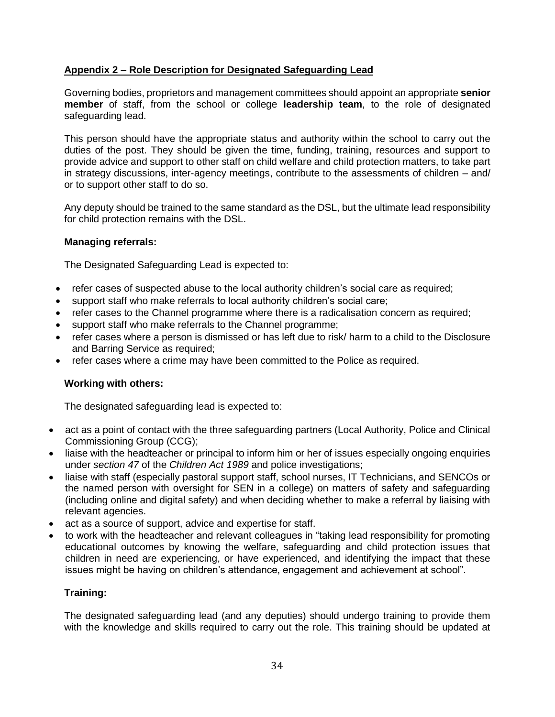## **Appendix 2 – Role Description for Designated Safeguarding Lead**

Governing bodies, proprietors and management committees should appoint an appropriate **senior member** of staff, from the school or college **leadership team**, to the role of designated safeguarding lead.

This person should have the appropriate status and authority within the school to carry out the duties of the post. They should be given the time, funding, training, resources and support to provide advice and support to other staff on child welfare and child protection matters, to take part in strategy discussions, inter-agency meetings, contribute to the assessments of children – and/ or to support other staff to do so.

Any deputy should be trained to the same standard as the DSL, but the ultimate lead responsibility for child protection remains with the DSL.

#### **Managing referrals:**

The Designated Safeguarding Lead is expected to:

- refer cases of suspected abuse to the local authority children's social care as required;
- support staff who make referrals to local authority children's social care;
- refer cases to the Channel programme where there is a radicalisation concern as required;
- support staff who make referrals to the Channel programme;
- refer cases where a person is dismissed or has left due to risk/ harm to a child to the Disclosure and Barring Service as required;
- refer cases where a crime may have been committed to the Police as required.

## **Working with others:**

The designated safeguarding lead is expected to:

- act as a point of contact with the three safeguarding partners (Local Authority, Police and Clinical Commissioning Group (CCG);
- liaise with the headteacher or principal to inform him or her of issues especially ongoing enquiries under *section 47* of the *Children Act 1989* and police investigations;
- liaise with staff (especially pastoral support staff, school nurses, IT Technicians, and SENCOs or the named person with oversight for SEN in a college) on matters of safety and safeguarding (including online and digital safety) and when deciding whether to make a referral by liaising with relevant agencies.
- act as a source of support, advice and expertise for staff.
- to work with the headteacher and relevant colleagues in "taking lead responsibility for promoting educational outcomes by knowing the welfare, safeguarding and child protection issues that children in need are experiencing, or have experienced, and identifying the impact that these issues might be having on children's attendance, engagement and achievement at school".

#### **Training:**

The designated safeguarding lead (and any deputies) should undergo training to provide them with the knowledge and skills required to carry out the role. This training should be updated at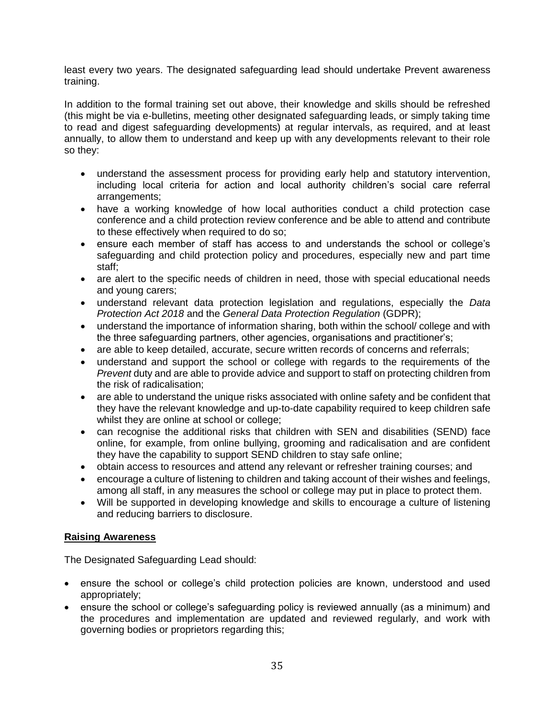least every two years. The designated safeguarding lead should undertake Prevent awareness training.

In addition to the formal training set out above, their knowledge and skills should be refreshed (this might be via e-bulletins, meeting other designated safeguarding leads, or simply taking time to read and digest safeguarding developments) at regular intervals, as required, and at least annually, to allow them to understand and keep up with any developments relevant to their role so they:

- understand the assessment process for providing early help and statutory intervention, including local criteria for action and local authority children's social care referral arrangements;
- have a working knowledge of how local authorities conduct a child protection case conference and a child protection review conference and be able to attend and contribute to these effectively when required to do so;
- ensure each member of staff has access to and understands the school or college's safeguarding and child protection policy and procedures, especially new and part time staff;
- are alert to the specific needs of children in need, those with special educational needs and young carers;
- understand relevant data protection legislation and regulations, especially the *Data Protection Act 2018* and the *General Data Protection Regulation* (GDPR);
- understand the importance of information sharing, both within the school/ college and with the three safeguarding partners, other agencies, organisations and practitioner's;
- are able to keep detailed, accurate, secure written records of concerns and referrals;
- understand and support the school or college with regards to the requirements of the *Prevent* duty and are able to provide advice and support to staff on protecting children from the risk of radicalisation;
- are able to understand the unique risks associated with online safety and be confident that they have the relevant knowledge and up-to-date capability required to keep children safe whilst they are online at school or college;
- can recognise the additional risks that children with SEN and disabilities (SEND) face online, for example, from online bullying, grooming and radicalisation and are confident they have the capability to support SEND children to stay safe online;
- obtain access to resources and attend any relevant or refresher training courses; and
- encourage a culture of listening to children and taking account of their wishes and feelings, among all staff, in any measures the school or college may put in place to protect them.
- Will be supported in developing knowledge and skills to encourage a culture of listening and reducing barriers to disclosure.

## **Raising Awareness**

The Designated Safeguarding Lead should:

- ensure the school or college's child protection policies are known, understood and used appropriately;
- ensure the school or college's safeguarding policy is reviewed annually (as a minimum) and the procedures and implementation are updated and reviewed regularly, and work with governing bodies or proprietors regarding this;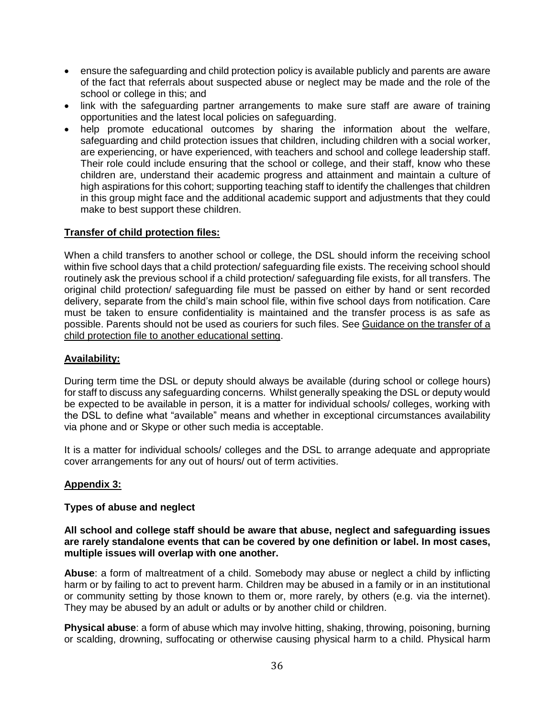- ensure the safeguarding and child protection policy is available publicly and parents are aware of the fact that referrals about suspected abuse or neglect may be made and the role of the school or college in this; and
- link with the safeguarding partner arrangements to make sure staff are aware of training opportunities and the latest local policies on safeguarding.
- help promote educational outcomes by sharing the information about the welfare, safeguarding and child protection issues that children, including children with a social worker, are experiencing, or have experienced, with teachers and school and college leadership staff. Their role could include ensuring that the school or college, and their staff, know who these children are, understand their academic progress and attainment and maintain a culture of high aspirations for this cohort; supporting teaching staff to identify the challenges that children in this group might face and the additional academic support and adjustments that they could make to best support these children.

#### **Transfer of child protection files:**

When a child transfers to another school or college, the DSL should inform the receiving school within five school days that a child protection/ safeguarding file exists. The receiving school should routinely ask the previous school if a child protection/ safeguarding file exists, for all transfers. The original child protection/ safeguarding file must be passed on either by hand or sent recorded delivery, separate from the child's main school file, within five school days from notification. Care must be taken to ensure confidentiality is maintained and the transfer process is as safe as possible. Parents should not be used as couriers for such files. See Guidance on the transfer of a [child protection file to another educational setting.](http://www.harrowlscb.co.uk/wp-content/uploads/2015/06/Guidance-on-the-transfer-of-a-child-protection-safeguarding-file-1.pdf)

#### **Availability:**

During term time the DSL or deputy should always be available (during school or college hours) for staff to discuss any safeguarding concerns. Whilst generally speaking the DSL or deputy would be expected to be available in person, it is a matter for individual schools/ colleges, working with the DSL to define what "available" means and whether in exceptional circumstances availability via phone and or Skype or other such media is acceptable.

It is a matter for individual schools/ colleges and the DSL to arrange adequate and appropriate cover arrangements for any out of hours/ out of term activities.

#### **Appendix 3:**

#### **Types of abuse and neglect**

#### **All school and college staff should be aware that abuse, neglect and safeguarding issues are rarely standalone events that can be covered by one definition or label. In most cases, multiple issues will overlap with one another.**

**Abuse**: a form of maltreatment of a child. Somebody may abuse or neglect a child by inflicting harm or by failing to act to prevent harm. Children may be abused in a family or in an institutional or community setting by those known to them or, more rarely, by others (e.g. via the internet). They may be abused by an adult or adults or by another child or children.

**Physical abuse**: a form of abuse which may involve hitting, shaking, throwing, poisoning, burning or scalding, drowning, suffocating or otherwise causing physical harm to a child. Physical harm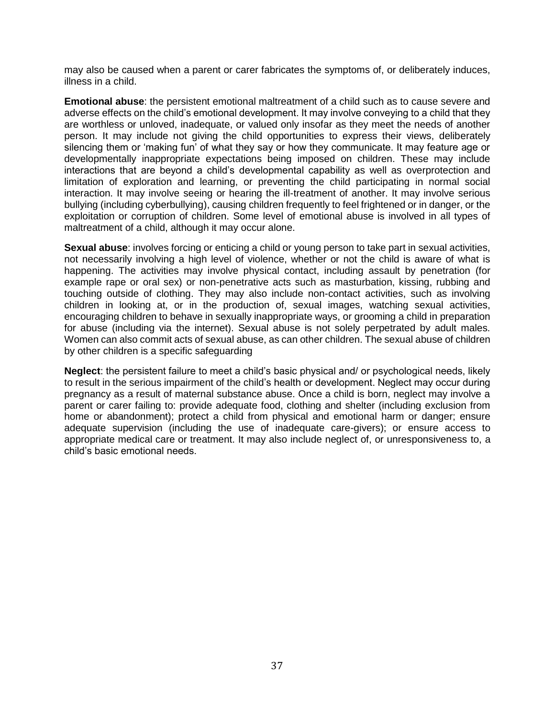may also be caused when a parent or carer fabricates the symptoms of, or deliberately induces, illness in a child.

**Emotional abuse**: the persistent emotional maltreatment of a child such as to cause severe and adverse effects on the child's emotional development. It may involve conveying to a child that they are worthless or unloved, inadequate, or valued only insofar as they meet the needs of another person. It may include not giving the child opportunities to express their views, deliberately silencing them or 'making fun' of what they say or how they communicate. It may feature age or developmentally inappropriate expectations being imposed on children. These may include interactions that are beyond a child's developmental capability as well as overprotection and limitation of exploration and learning, or preventing the child participating in normal social interaction. It may involve seeing or hearing the ill-treatment of another. It may involve serious bullying (including cyberbullying), causing children frequently to feel frightened or in danger, or the exploitation or corruption of children. Some level of emotional abuse is involved in all types of maltreatment of a child, although it may occur alone.

**Sexual abuse**: involves forcing or enticing a child or young person to take part in sexual activities, not necessarily involving a high level of violence, whether or not the child is aware of what is happening. The activities may involve physical contact, including assault by penetration (for example rape or oral sex) or non-penetrative acts such as masturbation, kissing, rubbing and touching outside of clothing. They may also include non-contact activities, such as involving children in looking at, or in the production of, sexual images, watching sexual activities, encouraging children to behave in sexually inappropriate ways, or grooming a child in preparation for abuse (including via the internet). Sexual abuse is not solely perpetrated by adult males. Women can also commit acts of sexual abuse, as can other children. The sexual abuse of children by other children is a specific safeguarding

**Neglect**: the persistent failure to meet a child's basic physical and/ or psychological needs, likely to result in the serious impairment of the child's health or development. Neglect may occur during pregnancy as a result of maternal substance abuse. Once a child is born, neglect may involve a parent or carer failing to: provide adequate food, clothing and shelter (including exclusion from home or abandonment); protect a child from physical and emotional harm or danger; ensure adequate supervision (including the use of inadequate care-givers); or ensure access to appropriate medical care or treatment. It may also include neglect of, or unresponsiveness to, a child's basic emotional needs.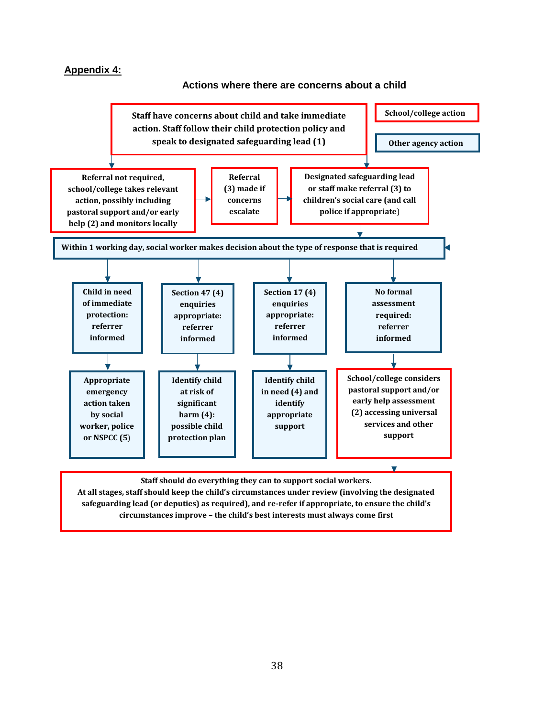#### **Appendix 4:**

#### **Actions where there are concerns about a child**



**safeguarding lead (or deputies) as required), and re-refer if appropriate, to ensure the child's circumstances improve – the child's best interests must always come first**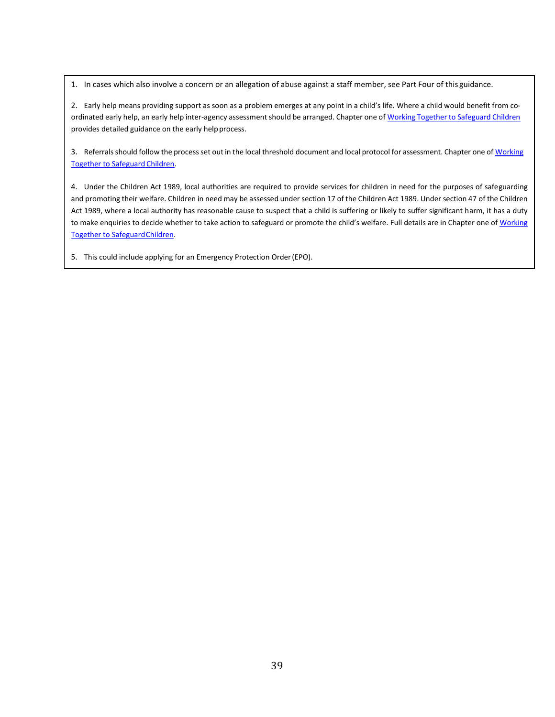1. In cases which also involve a concern or an allegation of abuse against a staff member, see Part Four of this guidance.

2. Early help means providing support as soon as a problem emerges at any point in a child's life. Where a child would benefit from coordinated early help, an early help inter-agency assessment should be arranged. Chapter one of Working Together to Safeguard Children provides detailed guidance on the early helpprocess.

3. Referrals should follow the process set out in the local threshold document and local protocol for assessment. Chapter one of Working [Together to Safeguard](https://www.gov.uk/government/publications/working-together-to-safeguard-children--2) Children.

4. Under the Children Act 1989, local authorities are required to provide services for children in need for the purposes of safeguarding and promoting their welfare. Children in need may be assessed under section 17 of the Children Act 1989. Under section 47 of the Children Act 1989, where a local authority has reasonable cause to suspect that a child is suffering or likely to suffer significant harm, it has a duty to make enquiries to decide whether to take action to safeguard or promote the child's welfare. Full details are in Chapter one of Working [Together to SafeguardChildren.](https://www.gov.uk/government/publications/working-together-to-safeguard-children--2)

5. This could include applying for an Emergency Protection Order(EPO).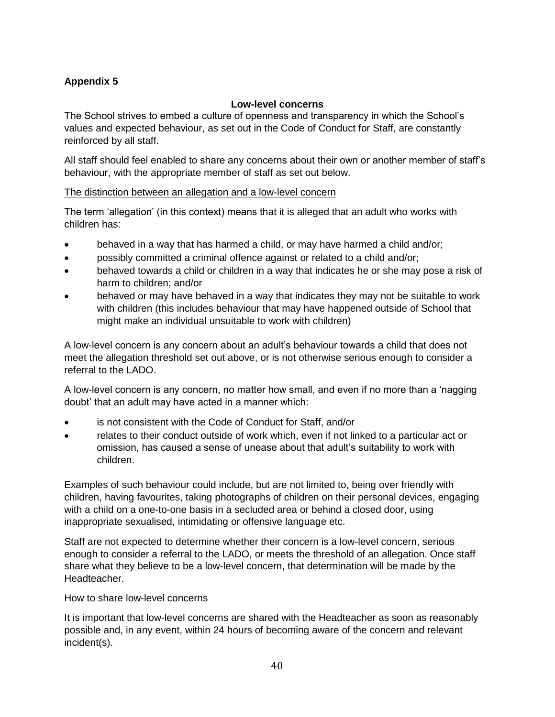## **Appendix 5**

#### **Low-level concerns**

The School strives to embed a culture of openness and transparency in which the School's values and expected behaviour, as set out in the Code of Conduct for Staff, are constantly reinforced by all staff.

All staff should feel enabled to share any concerns about their own or another member of staff's behaviour, with the appropriate member of staff as set out below.

#### The distinction between an allegation and a low-level concern

The term 'allegation' (in this context) means that it is alleged that an adult who works with children has:

- behaved in a way that has harmed a child, or may have harmed a child and/or;
- possibly committed a criminal offence against or related to a child and/or;
- behaved towards a child or children in a way that indicates he or she may pose a risk of harm to children; and/or
- behaved or may have behaved in a way that indicates they may not be suitable to work with children (this includes behaviour that may have happened outside of School that might make an individual unsuitable to work with children)

A low-level concern is any concern about an adult's behaviour towards a child that does not meet the allegation threshold set out above, or is not otherwise serious enough to consider a referral to the LADO.

A low-level concern is any concern, no matter how small, and even if no more than a 'nagging doubt' that an adult may have acted in a manner which:

- is not consistent with the Code of Conduct for Staff, and/or
- relates to their conduct outside of work which, even if not linked to a particular act or omission, has caused a sense of unease about that adult's suitability to work with children.

Examples of such behaviour could include, but are not limited to, being over friendly with children, having favourites, taking photographs of children on their personal devices, engaging with a child on a one-to-one basis in a secluded area or behind a closed door, using inappropriate sexualised, intimidating or offensive language etc.

Staff are not expected to determine whether their concern is a low-level concern, serious enough to consider a referral to the LADO, or meets the threshold of an allegation. Once staff share what they believe to be a low-level concern, that determination will be made by the Headteacher.

#### How to share low-level concerns

It is important that low-level concerns are shared with the Headteacher as soon as reasonably possible and, in any event, within 24 hours of becoming aware of the concern and relevant incident(s).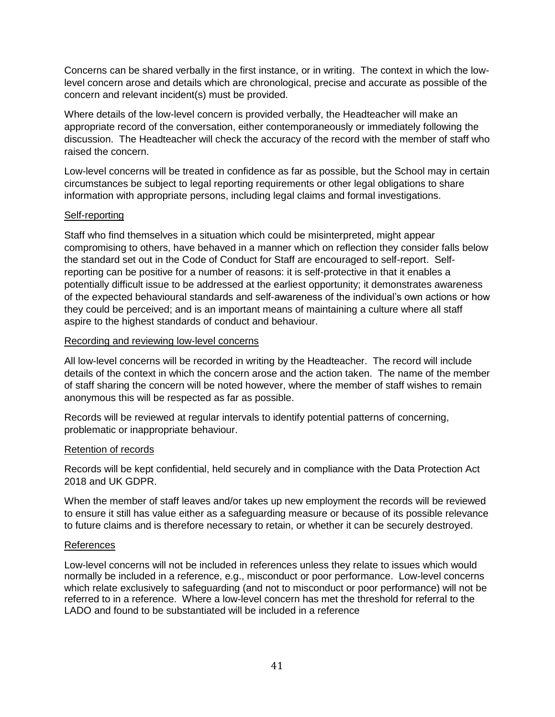Concerns can be shared verbally in the first instance, or in writing. The context in which the lowlevel concern arose and details which are chronological, precise and accurate as possible of the concern and relevant incident(s) must be provided.

Where details of the low-level concern is provided verbally, the Headteacher will make an appropriate record of the conversation, either contemporaneously or immediately following the discussion. The Headteacher will check the accuracy of the record with the member of staff who raised the concern.

Low-level concerns will be treated in confidence as far as possible, but the School may in certain circumstances be subject to legal reporting requirements or other legal obligations to share information with appropriate persons, including legal claims and formal investigations.

#### Self-reporting

Staff who find themselves in a situation which could be misinterpreted, might appear compromising to others, have behaved in a manner which on reflection they consider falls below the standard set out in the Code of Conduct for Staff are encouraged to self-report. Selfreporting can be positive for a number of reasons: it is self-protective in that it enables a potentially difficult issue to be addressed at the earliest opportunity; it demonstrates awareness of the expected behavioural standards and self-awareness of the individual's own actions or how they could be perceived; and is an important means of maintaining a culture where all staff aspire to the highest standards of conduct and behaviour.

#### Recording and reviewing low-level concerns

All low-level concerns will be recorded in writing by the Headteacher. The record will include details of the context in which the concern arose and the action taken. The name of the member of staff sharing the concern will be noted however, where the member of staff wishes to remain anonymous this will be respected as far as possible.

Records will be reviewed at regular intervals to identify potential patterns of concerning, problematic or inappropriate behaviour.

#### Retention of records

Records will be kept confidential, held securely and in compliance with the Data Protection Act 2018 and UK GDPR.

When the member of staff leaves and/or takes up new employment the records will be reviewed to ensure it still has value either as a safeguarding measure or because of its possible relevance to future claims and is therefore necessary to retain, or whether it can be securely destroyed.

#### References

Low-level concerns will not be included in references unless they relate to issues which would normally be included in a reference, e.g., misconduct or poor performance. Low-level concerns which relate exclusively to safeguarding (and not to misconduct or poor performance) will not be referred to in a reference. Where a low-level concern has met the threshold for referral to the LADO and found to be substantiated will be included in a reference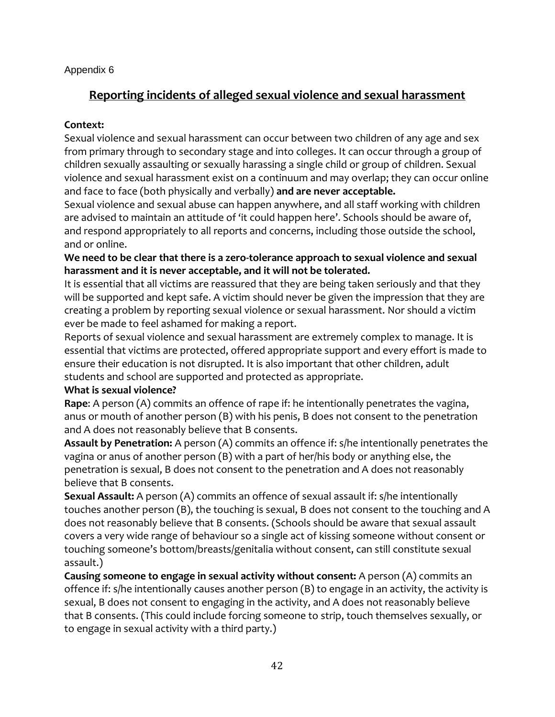## Appendix 6

## **Reporting incidents of alleged sexual violence and sexual harassment**

## **Context:**

Sexual violence and sexual harassment can occur between two children of any age and sex from primary through to secondary stage and into colleges. It can occur through a group of children sexually assaulting or sexually harassing a single child or group of children. Sexual violence and sexual harassment exist on a continuum and may overlap; they can occur online and face to face (both physically and verbally) **and are never acceptable.**

Sexual violence and sexual abuse can happen anywhere, and all staff working with children are advised to maintain an attitude of 'it could happen here'. Schools should be aware of, and respond appropriately to all reports and concerns, including those outside the school, and or online.

**We need to be clear that there is a zero-tolerance approach to sexual violence and sexual harassment and it is never acceptable, and it will not be tolerated.**

It is essential that all victims are reassured that they are being taken seriously and that they will be supported and kept safe. A victim should never be given the impression that they are creating a problem by reporting sexual violence or sexual harassment. Nor should a victim ever be made to feel ashamed for making a report.

Reports of sexual violence and sexual harassment are extremely complex to manage. It is essential that victims are protected, offered appropriate support and every effort is made to ensure their education is not disrupted. It is also important that other children, adult students and school are supported and protected as appropriate.

## **What is sexual violence?**

**Rape**: A person (A) commits an offence of rape if: he intentionally penetrates the vagina, anus or mouth of another person (B) with his penis, B does not consent to the penetration and A does not reasonably believe that B consents.

**Assault by Penetration:** A person (A) commits an offence if: s/he intentionally penetrates the vagina or anus of another person (B) with a part of her/his body or anything else, the penetration is sexual, B does not consent to the penetration and A does not reasonably believe that B consents.

**Sexual Assault:** A person (A) commits an offence of sexual assault if: s/he intentionally touches another person (B), the touching is sexual, B does not consent to the touching and A does not reasonably believe that B consents. (Schools should be aware that sexual assault covers a very wide range of behaviour so a single act of kissing someone without consent or touching someone's bottom/breasts/genitalia without consent, can still constitute sexual assault.)

**Causing someone to engage in sexual activity without consent:** A person (A) commits an offence if: s/he intentionally causes another person (B) to engage in an activity, the activity is sexual, B does not consent to engaging in the activity, and A does not reasonably believe that B consents. (This could include forcing someone to strip, touch themselves sexually, or to engage in sexual activity with a third party.)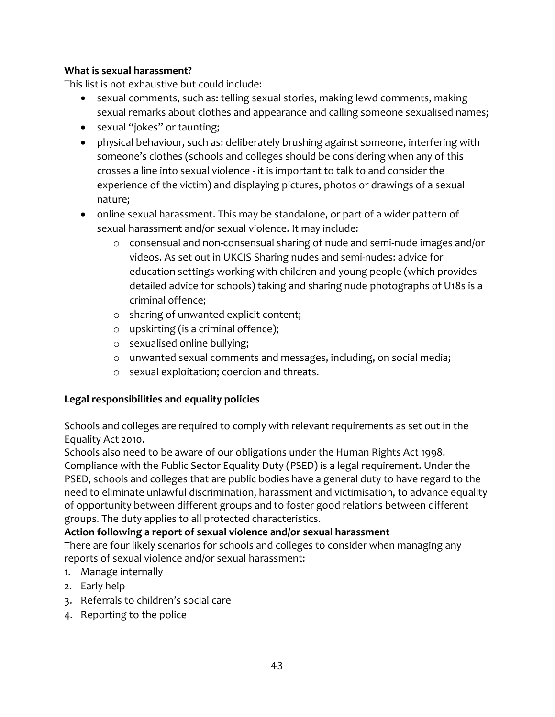## **What is sexual harassment?**

This list is not exhaustive but could include:

- sexual comments, such as: telling sexual stories, making lewd comments, making sexual remarks about clothes and appearance and calling someone sexualised names;
- sexual "jokes" or taunting;
- physical behaviour, such as: deliberately brushing against someone, interfering with someone's clothes (schools and colleges should be considering when any of this crosses a line into sexual violence - it is important to talk to and consider the experience of the victim) and displaying pictures, photos or drawings of a sexual nature;
- online sexual harassment. This may be standalone, or part of a wider pattern of sexual harassment and/or sexual violence. It may include:
	- o consensual and non-consensual sharing of nude and semi-nude images and/or videos. As set out in UKCIS Sharing nudes and semi-nudes: advice for education settings working with children and young people (which provides detailed advice for schools) taking and sharing nude photographs of U18s is a criminal offence;
	- o sharing of unwanted explicit content;
	- o upskirting (is a criminal offence);
	- o sexualised online bullying;
	- o unwanted sexual comments and messages, including, on social media;
	- o sexual exploitation; coercion and threats.

## **Legal responsibilities and equality policies**

Schools and colleges are required to comply with relevant requirements as set out in the Equality Act 2010.

Schools also need to be aware of our obligations under the Human Rights Act 1998. Compliance with the Public Sector Equality Duty (PSED) is a legal requirement. Under the PSED, schools and colleges that are public bodies have a general duty to have regard to the need to eliminate unlawful discrimination, harassment and victimisation, to advance equality of opportunity between different groups and to foster good relations between different groups. The duty applies to all protected characteristics.

## **Action following a report of sexual violence and/or sexual harassment**

There are four likely scenarios for schools and colleges to consider when managing any reports of sexual violence and/or sexual harassment:

- 1. Manage internally
- 2. Early help
- 3. Referrals to children's social care
- 4. Reporting to the police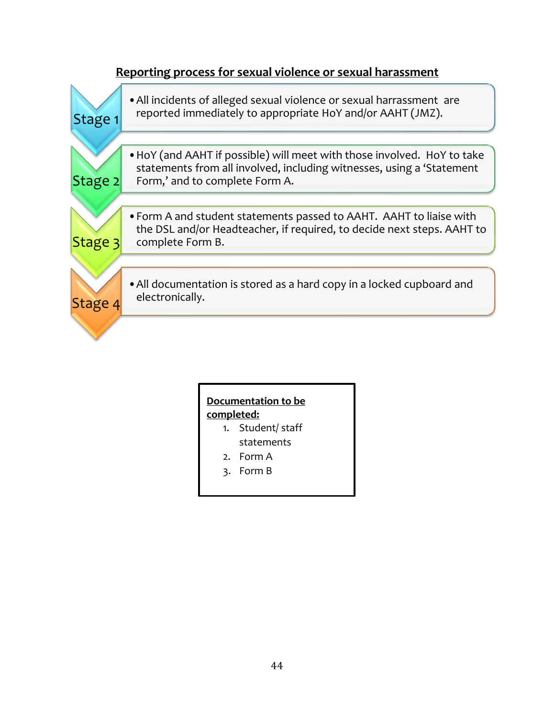

# **Documentation to be completed:**

- 1. Student/ staff statements
- 2. Form A
- 3. Form B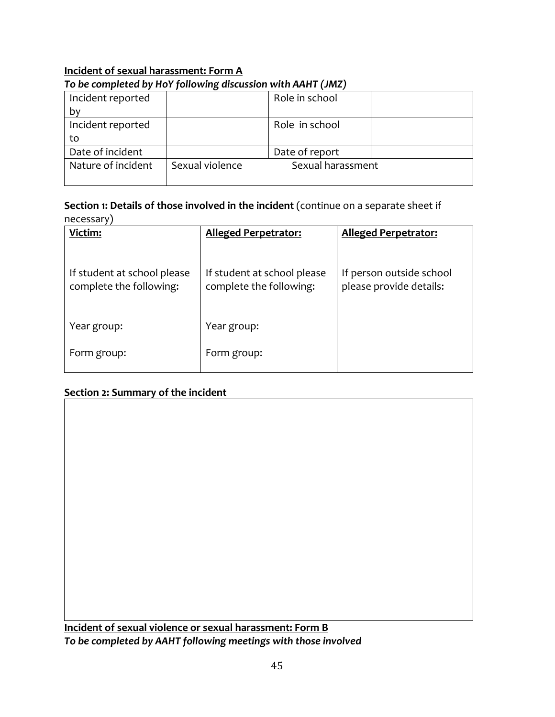## **Incident of sexual harassment: Form A** *To be completed by HoY following discussion with AAHT (JMZ)*

| Incident reported  |                 | Role in school    |  |
|--------------------|-----------------|-------------------|--|
| b٧                 |                 |                   |  |
| Incident reported  |                 | Role in school    |  |
| to                 |                 |                   |  |
| Date of incident   |                 | Date of report    |  |
| Nature of incident | Sexual violence | Sexual harassment |  |
|                    |                 |                   |  |

#### **Section 1: Details of those involved in the incident** (continue on a separate sheet if necessary)

| Victim:                                                | <b>Alleged Perpetrator:</b>                            | <b>Alleged Perpetrator:</b>                         |
|--------------------------------------------------------|--------------------------------------------------------|-----------------------------------------------------|
| If student at school please<br>complete the following: | If student at school please<br>complete the following: | If person outside school<br>please provide details: |
| Year group:                                            | Year group:                                            |                                                     |
| Form group:                                            | Form group:                                            |                                                     |

## **Section 2: Summary of the incident**

**Incident of sexual violence or sexual harassment: Form B** *To be completed by AAHT following meetings with those involved*